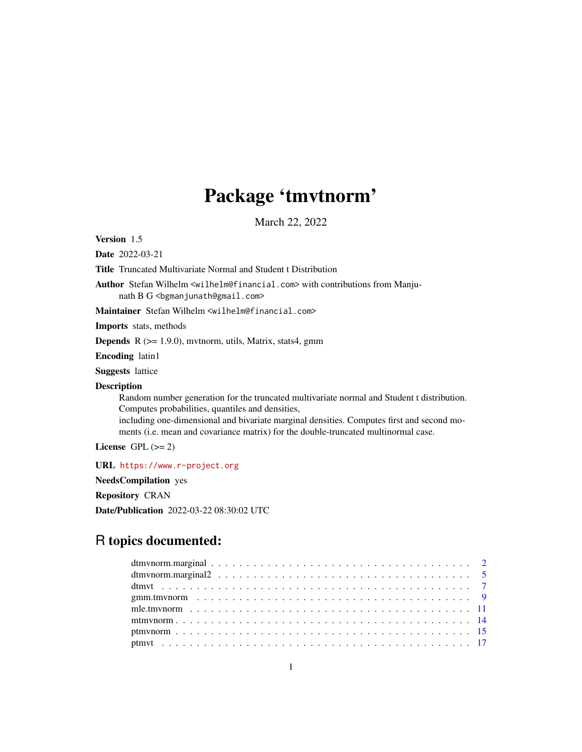# Package 'tmvtnorm'

March 22, 2022

<span id="page-0-0"></span>Version 1.5

Date 2022-03-21

Title Truncated Multivariate Normal and Student t Distribution

Author Stefan Wilhelm <wilhelm@financial.com> with contributions from Manjunath B G <br/>bgmanjunath@gmail.com>

Maintainer Stefan Wilhelm <wilhelm@financial.com>

Imports stats, methods

Depends R (>= 1.9.0), mvtnorm, utils, Matrix, stats4, gmm

Encoding latin1

Suggests lattice

#### Description

Random number generation for the truncated multivariate normal and Student t distribution. Computes probabilities, quantiles and densities,

including one-dimensional and bivariate marginal densities. Computes first and second moments (i.e. mean and covariance matrix) for the double-truncated multinormal case.

License GPL  $(>= 2)$ 

URL <https://www.r-project.org>

NeedsCompilation yes

Repository CRAN

Date/Publication 2022-03-22 08:30:02 UTC

## R topics documented: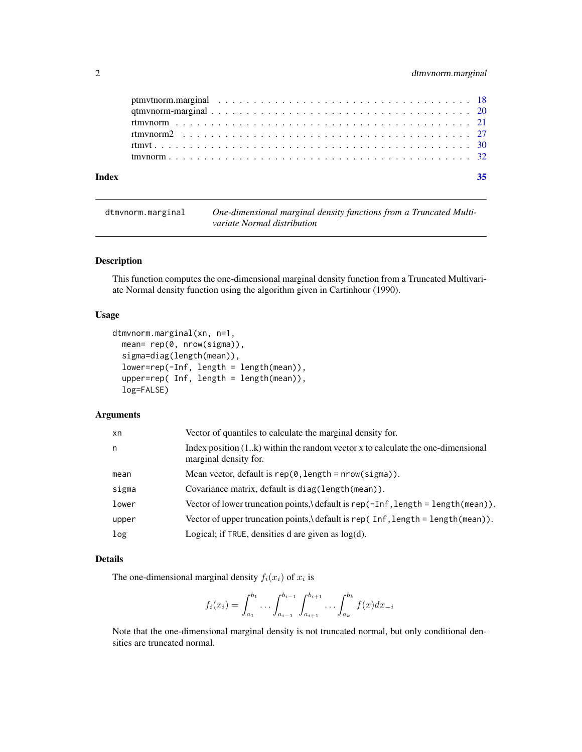<span id="page-1-0"></span>

<span id="page-1-1"></span>dtmvnorm.marginal *One-dimensional marginal density functions from a Truncated Multivariate Normal distribution*

### Description

This function computes the one-dimensional marginal density function from a Truncated Multivariate Normal density function using the algorithm given in Cartinhour (1990).

#### Usage

```
dtmvnorm.marginal(xn, n=1,
 mean= rep(0, nrow(sigma)),
  sigma=diag(length(mean)),
  lower=rep(-Inf, length = length(mean)),
  upper=rep( Inf, length = length(mean)),
  log=FALSE)
```
#### Arguments

| xn    | Vector of quantiles to calculate the marginal density for.                                                 |
|-------|------------------------------------------------------------------------------------------------------------|
| n     | Index position $(1k)$ within the random vector x to calculate the one-dimensional<br>marginal density for. |
| mean  | Mean vector, default is $rep(0, length = nrow(sigma))$ .                                                   |
| sigma | Covariance matrix, default is diag(length(mean)).                                                          |
| lower | Vector of lower truncation points, \ default is rep(-Inf, length = length(mean)).                          |
| upper | Vector of upper truncation points, \ default is rep(Inf, length = length(mean)).                           |
| log   | Logical; if TRUE, densities d are given as $log(d)$ .                                                      |

#### Details

The one-dimensional marginal density  $f_i(x_i)$  of  $x_i$  is

$$
f_i(x_i) = \int_{a_1}^{b_1} \dots \int_{a_{i-1}}^{b_{i-1}} \int_{a_{i+1}}^{b_{i+1}} \dots \int_{a_k}^{b_k} f(x) dx_{-i}
$$

Note that the one-dimensional marginal density is not truncated normal, but only conditional densities are truncated normal.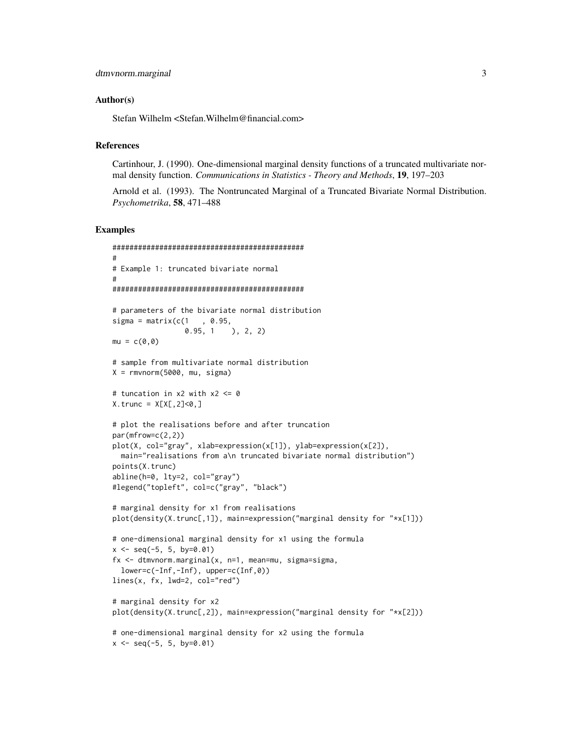#### Author(s)

Stefan Wilhelm <Stefan.Wilhelm@financial.com>

#### References

Cartinhour, J. (1990). One-dimensional marginal density functions of a truncated multivariate normal density function. *Communications in Statistics - Theory and Methods*, 19, 197–203

Arnold et al. (1993). The Nontruncated Marginal of a Truncated Bivariate Normal Distribution. *Psychometrika*, 58, 471–488

```
#############################################
#
# Example 1: truncated bivariate normal
#
#############################################
# parameters of the bivariate normal distribution
sigma = matrix(c(1, 0.95,0.95, 1 ), 2, 2)
mu = c(0, 0)# sample from multivariate normal distribution
X = rmvnorm(5000, mu, sigma)
# tuncation in x2 with x2 <= 0
X. trunc = X[X[, 2]<0,]
# plot the realisations before and after truncation
par(mfrow=c(2,2))
plot(X, col="gray", xlab=expression(x[1]), ylab=expression(x[2]),
  main="realisations from a\n truncated bivariate normal distribution")
points(X.trunc)
abline(h=0, lty=2, col="gray")
#legend("topleft", col=c("gray", "black")
# marginal density for x1 from realisations
plot(density(X.trunc[,1]), main=expression("marginal density for "*x[1]))
# one-dimensional marginal density for x1 using the formula
x \le - seq(-5, 5, by=0.01)
fx \leq dtmvnorm.marginal(x, n=1, \text{mean}=mu, \text{sigma}=sigma,lower=c(-Inf,-Inf), upper=c(Inf,0))
lines(x, fx, lwd=2, col="red")# marginal density for x2
plot(density(X.trunc[,2]), main=expression("marginal density for "*x[2]))
# one-dimensional marginal density for x2 using the formula
x \le - seq(-5, 5, by=0.01)
```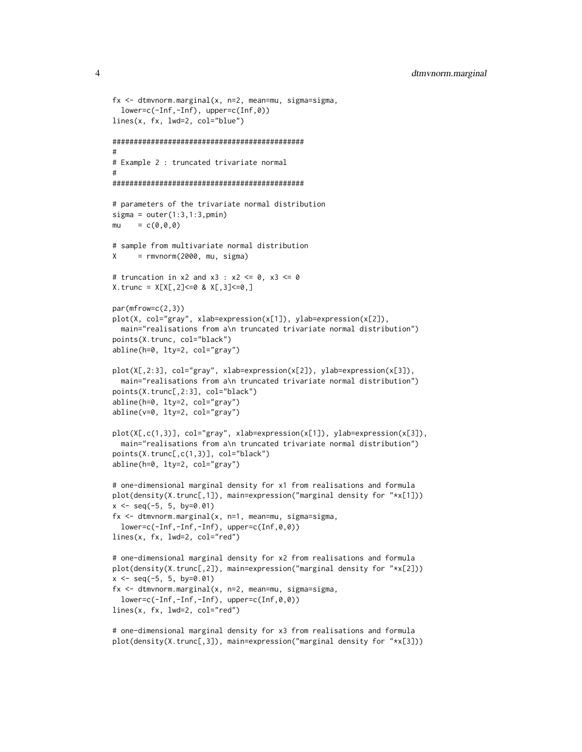```
fx <- dtmvnorm.marginal(x, n=2, mean=mu, sigma=sigma,
  lower=c(-Inf,-Inf), upper=c(Inf,0))
lines(x, fx, lwd=2, col="blue")
#############################################
#
# Example 2 : truncated trivariate normal
#
#############################################
# parameters of the trivariate normal distribution
signa = outer(1:3,1:3,pmin)mu = c(0, 0, 0)# sample from multivariate normal distribution
X = rmvnorm(2000, mu, sigma)
# truncation in x2 and x3 : x2 <= 0, x3 <= 0
X. trunc = X[X[, 2]<=0 & X[, 3]<=0,]
par(mfrow=c(2,3))
plot(X, col="gray", xlab=expression(x[1]), ylab=expression(x[2]),
  main="realisations from a\n truncated trivariate normal distribution")
points(X.trunc, col="black")
abline(h=0, lty=2, col="gray")
plot(X[,2:3], col="gray", xlab=expression(x[2]), ylab=expression(x[3]),
  main="realisations from a\n truncated trivariate normal distribution")
points(X.trunc[,2:3], col="black")
abline(h=0, lty=2, col="gray")
abline(v=0, lty=2, col="gray")
plot(X[,c(1,3)], col="gray", xlab=expression(x[1]), ylab=expression(x[3]),
  main="realisations from a\n truncated trivariate normal distribution")
points(X.trunc[,c(1,3)], col="black")
abline(h=0, lty=2, col="gray")
# one-dimensional marginal density for x1 from realisations and formula
plot(density(X.trunc[,1]), main=expression("marginal density for "*x[1]))
x \le - seq(-5, 5, by=0.01)
fx \leq dtmvnorm.marginal(x, n=1, \text{mean}=mu, \text{sigma}=sigma,lower=c(-Inf,-Inf,-Inf), upper=c(Inf,0,0))
lines(x, fx, lwd=2, col="red")
# one-dimensional marginal density for x2 from realisations and formula
plot(density(X.trunc[,2]), main=expression("marginal density for "*x[2]))
x \le - seq(-5, 5, by=0.01)
fx <- dtmvnorm.marginal(x, n=2, mean=mu, sigma=sigma,
  lower=c(-Inf,-Inf,-Inf), upper=c(Inf,0,0))
lines(x, fx, lwd=2, col="red")
```
# one-dimensional marginal density for x3 from realisations and formula plot(density(X.trunc[,3]), main=expression("marginal density for "\*x[3]))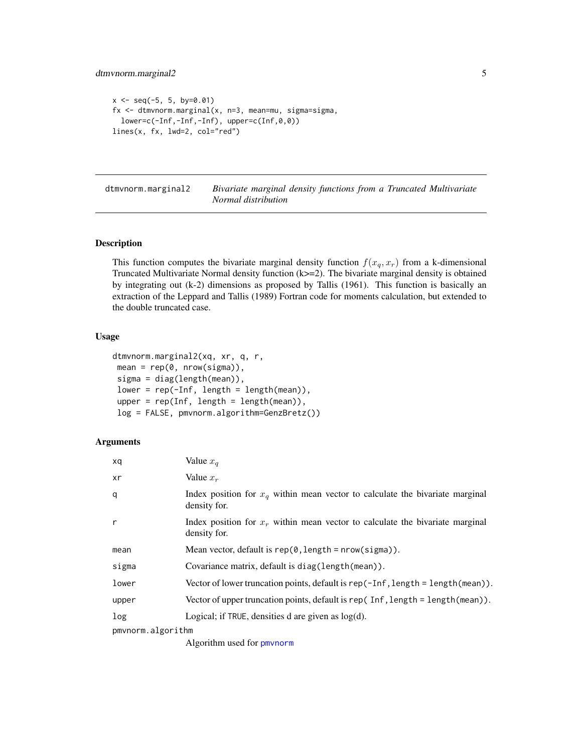```
x \le - seq(-5, 5, by=0.01)
fx <- dtmvnorm.marginal(x, n=3, mean=mu, sigma=sigma,
  lower=c(-Inf,-Inf,-Inf), upper=c(Inf,0,0))
lines(x, fx, lwd=2, col="red")
```
<span id="page-4-1"></span>dtmvnorm.marginal2 *Bivariate marginal density functions from a Truncated Multivariate Normal distribution*

#### Description

This function computes the bivariate marginal density function  $f(x_q, x_r)$  from a k-dimensional Truncated Multivariate Normal density function (k>=2). The bivariate marginal density is obtained by integrating out (k-2) dimensions as proposed by Tallis (1961). This function is basically an extraction of the Leppard and Tallis (1989) Fortran code for moments calculation, but extended to the double truncated case.

#### Usage

```
dtmvnorm.marginal2(xq, xr, q, r,
mean = rep(0, nrow(sigma)),sigma = diag(length(mean)),
lower = rep(-Inf, length = length(mean)),upper = rep(Inf, length = length(mean)),
log = FALSE, pmvnorm.algorithm=GenzBretz())
```
#### Arguments

| xq                | Value $x_q$                                                                                     |
|-------------------|-------------------------------------------------------------------------------------------------|
| xr                | Value $x_r$                                                                                     |
| q                 | Index position for $x_a$ within mean vector to calculate the bivariate marginal<br>density for. |
| r                 | Index position for $x_r$ within mean vector to calculate the bivariate marginal<br>density for. |
| mean              | Mean vector, default is $rep(0, length = nrow(sigma))$ .                                        |
| sigma             | Covariance matrix, default is diag(length(mean)).                                               |
| lower             | Vector of lower truncation points, default is rep( $-Inf$ , length = length(mean)).             |
| upper             | Vector of upper truncation points, default is rep(Inf, length = length(mean)).                  |
| log               | Logical; if $TRUE$ , densities d are given as $log(d)$ .                                        |
| pmvnorm.algorithm |                                                                                                 |
|                   |                                                                                                 |

Algorithm used for [pmvnorm](#page-0-0)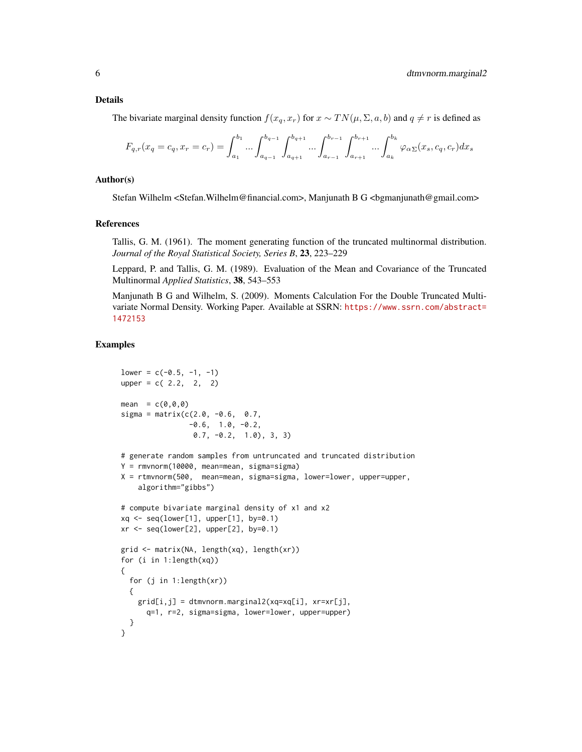The bivariate marginal density function  $f(x_q, x_r)$  for  $x \sim TN(\mu, \Sigma, a, b)$  and  $q \neq r$  is defined as

$$
F_{q,r}(x_q = c_q, x_r = c_r) = \int_{a_1}^{b_1} \dots \int_{a_{q-1}}^{b_{q-1}} \int_{a_{q+1}}^{b_{q+1}} \dots \int_{a_{r-1}}^{b_{r-1}} \int_{a_{r+1}}^{b_{r+1}} \dots \int_{a_k}^{b_k} \varphi_{\alpha}(\mathbf{x}_s, c_q, c_r) dx_s
$$

#### Author(s)

Stefan Wilhelm <Stefan.Wilhelm@financial.com>, Manjunath B G <br/> <br/> <br/> <br/><br/>e.com>

#### References

Tallis, G. M. (1961). The moment generating function of the truncated multinormal distribution. *Journal of the Royal Statistical Society, Series B*, 23, 223–229

Leppard, P. and Tallis, G. M. (1989). Evaluation of the Mean and Covariance of the Truncated Multinormal *Applied Statistics*, 38, 543–553

Manjunath B G and Wilhelm, S. (2009). Moments Calculation For the Double Truncated Multivariate Normal Density. Working Paper. Available at SSRN: [https://www.ssrn.com/abstract=](https://www.ssrn.com/abstract=1472153) [1472153](https://www.ssrn.com/abstract=1472153)

```
lower = c(-0.5, -1, -1)upper = c(2.2, 2, 2)mean = c(0, 0, 0)sigma = matrix(c(2.0, -0.6, 0.7,-0.6, 1.0, -0.2,0.7, -0.2, 1.0), 3, 3)
# generate random samples from untruncated and truncated distribution
Y = rmvnorm(10000, mean=mean, sigma=sigma)
X = rtmvnorm(500, mean=mean, sigma=sigma, lower=lower, upper=upper,
    algorithm="gibbs")
# compute bivariate marginal density of x1 and x2
xq \leftarrow seq(lower[1], upper[1], by=0.1)xr \leq -seq(lower[2], upper[2], by=0.1)grid <- matrix(NA, length(xq), length(xr))
for (i in 1:length(xq))
{
  for (j in 1:length(xr))
  {
    grid[i,j] = dtmvnorm.marginal2(xq=xq[i], xr=xr[j],q=1, r=2, sigma=sigma, lower=lower, upper=upper)
  }
}
```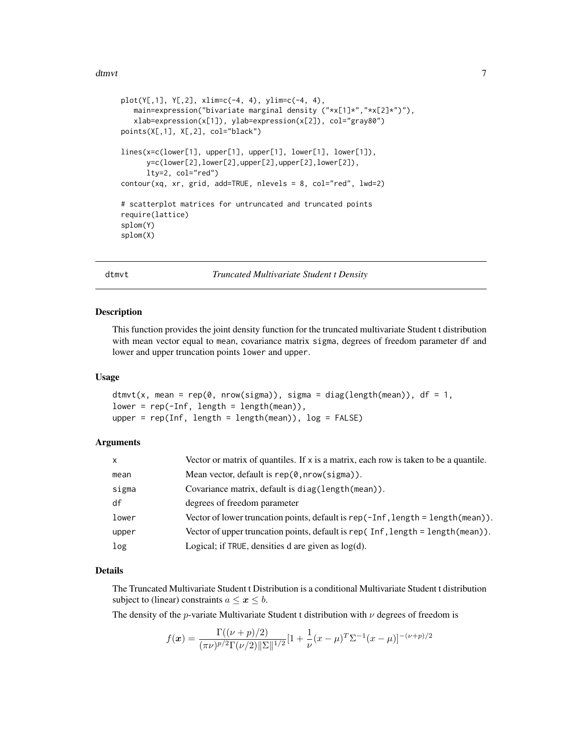```
plot(Y[,1], Y[,2], xlim=c(-4, 4), ylim=c(-4, 4),
   main=expression("bivariate marginal density ("*x[1]*","*x[2]*")"),
   xlab=expression(x[1]), ylab=expression(x[2]), col="gray80")
points(X[,1], X[,2], col="black")
lines(x=c(lower[1], upper[1], upper[1], lower[1], lower[1]),
      y=c(lower[2],lower[2],upper[2],upper[2],lower[2]),
      lty=2, col="red")
contour(xq, xr, grid, add=TRUE, nlevels = 8, col="red", lwd=2)
# scatterplot matrices for untruncated and truncated points
require(lattice)
splom(Y)
splom(X)
```
dtmvt *Truncated Multivariate Student t Density*

#### **Description**

This function provides the joint density function for the truncated multivariate Student t distribution with mean vector equal to mean, covariance matrix sigma, degrees of freedom parameter df and lower and upper truncation points lower and upper.

#### Usage

```
dtmvt(x, mean = rep(0, nrow(sigma)), sigma = diag(length(mean)), df = 1,
lower = rep(-Inf, length = length(mean)),
upper = rep(Inf, length = length(mean)), log = FALSE)
```
#### Arguments

| $\mathsf{x}$ | Vector or matrix of quantiles. If x is a matrix, each row is taken to be a quantile.   |
|--------------|----------------------------------------------------------------------------------------|
| mean         | Mean vector, default is $rep(0, nrow(sigma))$ .                                        |
| sigma        | Covariance matrix, default is diag(length(mean)).                                      |
| df           | degrees of freedom parameter                                                           |
| lower        | Vector of lower truncation points, default is rep(-Inf, length = length(mean)).        |
| upper        | Vector of upper truncation points, default is rep $($ Inf, length = length $(mean)$ ). |
| log          | Logical; if TRUE, densities d are given as $log(d)$ .                                  |

#### Details

The Truncated Multivariate Student t Distribution is a conditional Multivariate Student t distribution subject to (linear) constraints  $a \leq x \leq b$ .

The density of the *p*-variate Multivariate Student t distribution with  $\nu$  degrees of freedom is

$$
f(\boldsymbol{x}) = \frac{\Gamma((\nu + p)/2)}{(\pi \nu)^{p/2} \Gamma(\nu/2) \|\Sigma\|^{1/2}} [1 + \frac{1}{\nu} (x - \mu)^T \Sigma^{-1} (x - \mu)]^{-(\nu + p)/2}
$$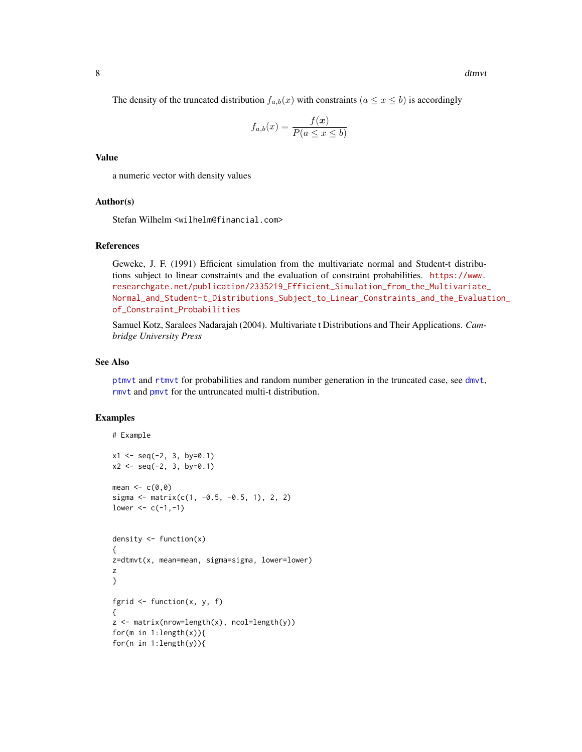<span id="page-7-0"></span>8 dtmvt

$$
f_{a,b}(x) = \frac{f(x)}{P(a \le x \le b)}
$$

#### Value

a numeric vector with density values

#### Author(s)

Stefan Wilhelm <wilhelm@financial.com>

### References

Geweke, J. F. (1991) Efficient simulation from the multivariate normal and Student-t distributions subject to linear constraints and the evaluation of constraint probabilities. [https://www.](https://www.researchgate.net/publication/2335219_Efficient_Simulation_from_the_Multivariate_Normal_and_Student-t_Distributions_Subject_to_Linear_Constraints_and_the_Evaluation_of_Constraint_Probabilities) [researchgate.net/publication/2335219\\_Efficient\\_Simulation\\_from\\_the\\_Multivariate\\_](https://www.researchgate.net/publication/2335219_Efficient_Simulation_from_the_Multivariate_Normal_and_Student-t_Distributions_Subject_to_Linear_Constraints_and_the_Evaluation_of_Constraint_Probabilities) [Normal\\_and\\_Student-t\\_Distributions\\_Subject\\_to\\_Linear\\_Constraints\\_and\\_the\\_Evaluat](https://www.researchgate.net/publication/2335219_Efficient_Simulation_from_the_Multivariate_Normal_and_Student-t_Distributions_Subject_to_Linear_Constraints_and_the_Evaluation_of_Constraint_Probabilities)ion\_ [of\\_Constraint\\_Probabilities](https://www.researchgate.net/publication/2335219_Efficient_Simulation_from_the_Multivariate_Normal_and_Student-t_Distributions_Subject_to_Linear_Constraints_and_the_Evaluation_of_Constraint_Probabilities)

Samuel Kotz, Saralees Nadarajah (2004). Multivariate t Distributions and Their Applications. *Cambridge University Press*

#### See Also

[ptmvt](#page-16-1) and [rtmvt](#page-29-1) for probabilities and random number generation in the truncated case, see [dmvt](#page-0-0), [rmvt](#page-0-0) and [pmvt](#page-0-0) for the untruncated multi-t distribution.

```
# Example
x1 \le - seq(-2, 3, by=0.1)
x2 \le - seq(-2, 3, by=0.1)
mean <-c(0,0)sigma <- matrix(c(1, -0.5, -0.5, 1), 2, 2)
lower < -c(-1,-1)density \leq function(x)
{
z=dtmvt(x, mean=mean, sigma=sigma, lower=lower)
z
}
fgrid \leq function(x, y, f)
{
z <- matrix(nrow=length(x), ncol=length(y))
for(m in 1:length(x)){
for(n in 1:length(y)){
```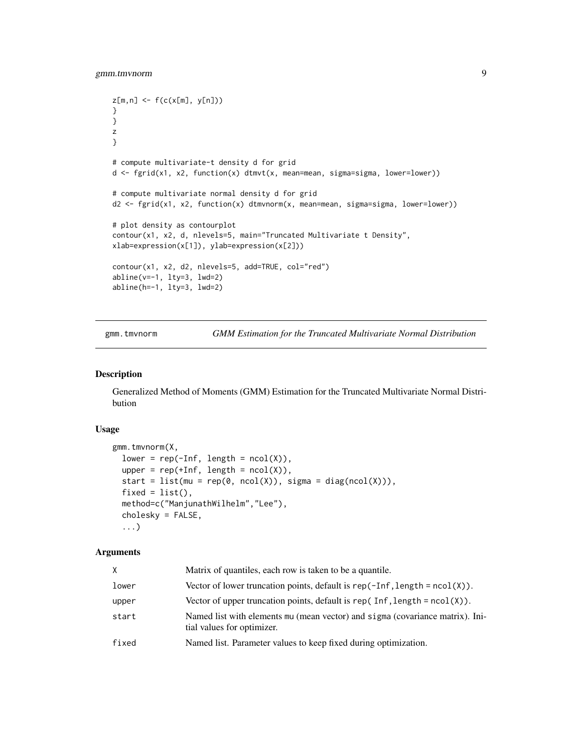```
z[m,n] \leq f(c(x[m], y[n]))}
}
z
}
# compute multivariate-t density d for grid
d <- fgrid(x1, x2, function(x) dtmvt(x, mean=mean, sigma=sigma, lower=lower))
# compute multivariate normal density d for grid
d2 <- fgrid(x1, x2, function(x) dtmvnorm(x, mean=mean, sigma=sigma, lower=lower))
# plot density as contourplot
contour(x1, x2, d, nlevels=5, main="Truncated Multivariate t Density",
xlab=expression(x[1]), ylab=expression(x[2]))
contour(x1, x2, d2, nlevels=5, add=TRUE, col="red")
abline(v=-1, lty=3, lwd=2)
abline(h=-1, lty=3, lwd=2)
```
gmm.tmvnorm *GMM Estimation for the Truncated Multivariate Normal Distribution*

#### Description

Generalized Method of Moments (GMM) Estimation for the Truncated Multivariate Normal Distribution

#### Usage

```
gmm.tmvnorm(X,
  lower = rep(-Inf, length = ncol(X)),upper = rep(+Inf, length = ncol(X)),start = list(mu = rep(0, ncol(X)), sigma = diag(ncol(X))),
  fixed = list(),
 method=c("ManjunathWilhelm","Lee"),
  cholesky = FALSE,
  ...)
```
#### Arguments

| X.    | Matrix of quantiles, each row is taken to be a quantile.                                                    |
|-------|-------------------------------------------------------------------------------------------------------------|
| lower | Vector of lower truncation points, default is rep( $\text{-}Inf$ , length = ncol(X)).                       |
| upper | Vector of upper truncation points, default is rep( $Inf$ , length = $ncol(X)$ ).                            |
| start | Named list with elements mu (mean vector) and sigma (covariance matrix). Ini-<br>tial values for optimizer. |
| fixed | Named list. Parameter values to keep fixed during optimization.                                             |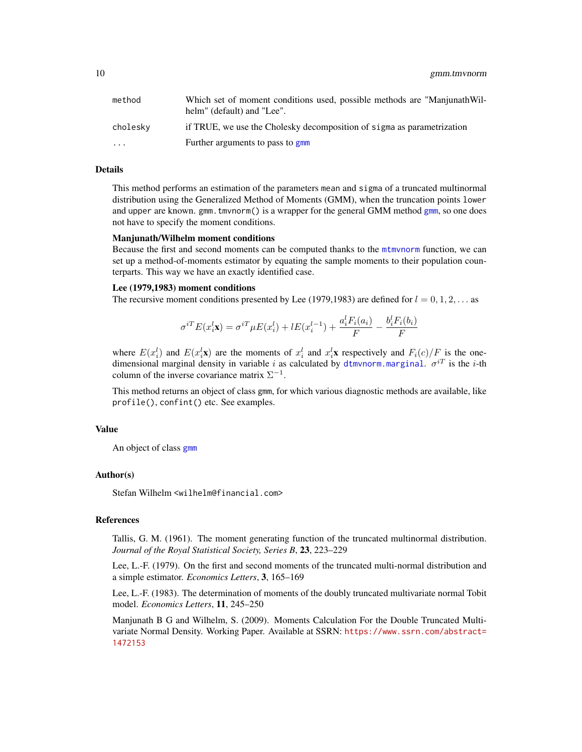<span id="page-9-0"></span>10 gmm.tmvnorm

| method                  | Which set of moment conditions used, possible methods are "ManjunathWil-<br>helm" (default) and "Lee". |
|-------------------------|--------------------------------------------------------------------------------------------------------|
| cholesky                | if TRUE, we use the Cholesky decomposition of sigma as parametrization                                 |
| $\cdot$ $\cdot$ $\cdot$ | Further arguments to pass to gmm                                                                       |

#### Details

This method performs an estimation of the parameters mean and sigma of a truncated multinormal distribution using the Generalized Method of Moments (GMM), when the truncation points lower and upper are known. gmm.tmvnorm() is a wrapper for the general GMM method [gmm](#page-0-0), so one does not have to specify the moment conditions.

#### Manjunath/Wilhelm moment conditions

Because the first and second moments can be computed thanks to the [mtmvnorm](#page-13-1) function, we can set up a method-of-moments estimator by equating the sample moments to their population counterparts. This way we have an exactly identified case.

#### Lee (1979,1983) moment conditions

The recursive moment conditions presented by Lee (1979,1983) are defined for  $l = 0, 1, 2, \ldots$  as

$$
\sigma^{iT} E(x_i^l \mathbf{x}) = \sigma^{iT} \mu E(x_i^l) + l E(x_i^{l-1}) + \frac{a_i^l F_i(a_i)}{F} - \frac{b_i^l F_i(b_i)}{F}
$$

where  $E(x_i^l)$  and  $E(x_i^l\mathbf{x})$  are the moments of  $x_i^l$  and  $x_i^l\mathbf{x}$  respectively and  $F_i(c)/F$  is the onedimensional marginal density in variable i as calculated by [dtmvnorm.marginal](#page-1-1).  $\sigma^{iT}$  is the i-th column of the inverse covariance matrix  $\Sigma^{-1}$ .

This method returns an object of class gmm, for which various diagnostic methods are available, like profile(), confint() etc. See examples.

#### Value

An object of class [gmm](#page-0-0)

#### Author(s)

Stefan Wilhelm <wilhelm@financial.com>

#### References

Tallis, G. M. (1961). The moment generating function of the truncated multinormal distribution. *Journal of the Royal Statistical Society, Series B*, 23, 223–229

Lee, L.-F. (1979). On the first and second moments of the truncated multi-normal distribution and a simple estimator. *Economics Letters*, 3, 165–169

Lee, L.-F. (1983). The determination of moments of the doubly truncated multivariate normal Tobit model. *Economics Letters*, 11, 245–250

Manjunath B G and Wilhelm, S. (2009). Moments Calculation For the Double Truncated Multivariate Normal Density. Working Paper. Available at SSRN: [https://www.ssrn.com/abstract=](https://www.ssrn.com/abstract=1472153) [1472153](https://www.ssrn.com/abstract=1472153)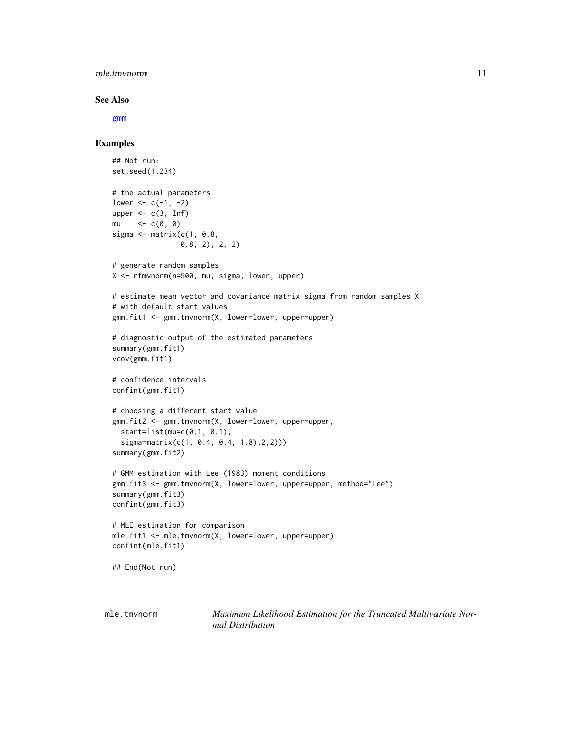#### <span id="page-10-0"></span>mle.tmvnorm 11

#### See Also

[gmm](#page-0-0)

#### Examples

```
## Not run:
set.seed(1.234)
# the actual parameters
lower <-c(-1, -2)upper \leq c(3, Inf)
mu \leq -c(\emptyset, \emptyset)sigma \leq matrix(c(1, 0.8,
                0.8, 2), 2, 2)
# generate random samples
X <- rtmvnorm(n=500, mu, sigma, lower, upper)
# estimate mean vector and covariance matrix sigma from random samples X
# with default start values
gmm.fit1 <- gmm.tmvnorm(X, lower=lower, upper=upper)
# diagnostic output of the estimated parameters
summary(gmm.fit1)
vcov(gmm.fit1)
# confidence intervals
confint(gmm.fit1)
# choosing a different start value
gmm.fit2 <- gmm.tmvnorm(X, lower=lower, upper=upper,
  start=list(mu=c(0.1, 0.1),
  sigma=matrix(c(1, 0.4, 0.4, 1.8),2,2)))
summary(gmm.fit2)
# GMM estimation with Lee (1983) moment conditions
gmm.fit3 <- gmm.tmvnorm(X, lower=lower, upper=upper, method="Lee")
summary(gmm.fit3)
confint(gmm.fit3)
# MLE estimation for comparison
mle.fit1 <- mle.tmvnorm(X, lower=lower, upper=upper)
confint(mle.fit1)
## End(Not run)
```
mle.tmvnorm *Maximum Likelihood Estimation for the Truncated Multivariate Normal Distribution*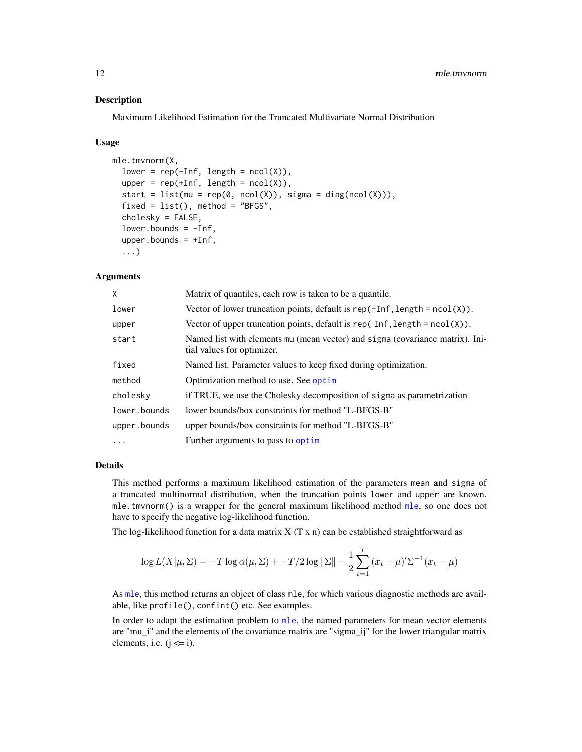#### <span id="page-11-0"></span>**Description**

Maximum Likelihood Estimation for the Truncated Multivariate Normal Distribution

#### Usage

```
mle.tmvnorm(X,
  lower = rep(-Inf, length = ncol(X)),upper = rep(+Inf, length = ncol(X)),start = list(mu = rep(0, ncol(X)), sigma = diag(ncol(X))),
  fixed = list(), method = "BFGS",
  cholesky = FALSE,
  lower.bounds = -Inf,upper.bounds = +Inf,
  ...)
```
#### Arguments

| X            | Matrix of quantiles, each row is taken to be a quantile.                                                    |
|--------------|-------------------------------------------------------------------------------------------------------------|
| lower        | Vector of lower truncation points, default is $rep(-Inf, length = ncol(X))$ .                               |
| upper        | Vector of upper truncation points, default is $rep(Inf, length = ncol(X)).$                                 |
| start        | Named list with elements mu (mean vector) and sigma (covariance matrix). Ini-<br>tial values for optimizer. |
| fixed        | Named list. Parameter values to keep fixed during optimization.                                             |
| method       | Optimization method to use. See optim                                                                       |
| cholesky     | if TRUE, we use the Cholesky decomposition of sigma as parametrization                                      |
| lower.bounds | lower bounds/box constraints for method "L-BFGS-B"                                                          |
| upper.bounds | upper bounds/box constraints for method "L-BFGS-B"                                                          |
| $\ddotsc$    | Further arguments to pass to optim                                                                          |

#### Details

This method performs a maximum likelihood estimation of the parameters mean and sigma of a truncated multinormal distribution, when the truncation points lower and upper are known. mle.tmvnorm() is a wrapper for the general maximum likelihood method [mle](#page-0-0), so one does not have to specify the negative log-likelihood function.

The log-likelihood function for a data matrix  $X(T \times n)$  can be established straightforward as

$$
\log L(X|\mu, \Sigma) = -T \log \alpha(\mu, \Sigma) + -T/2 \log \|\Sigma\| - \frac{1}{2} \sum_{t=1}^{T} (x_t - \mu)' \Sigma^{-1} (x_t - \mu)
$$

As [mle](#page-0-0), this method returns an object of class mle, for which various diagnostic methods are available, like profile(), confint() etc. See examples.

In order to adapt the estimation problem to [mle](#page-0-0), the named parameters for mean vector elements are "mu\_i" and the elements of the covariance matrix are "sigma\_ij" for the lower triangular matrix elements, i.e.  $(j \le i)$ .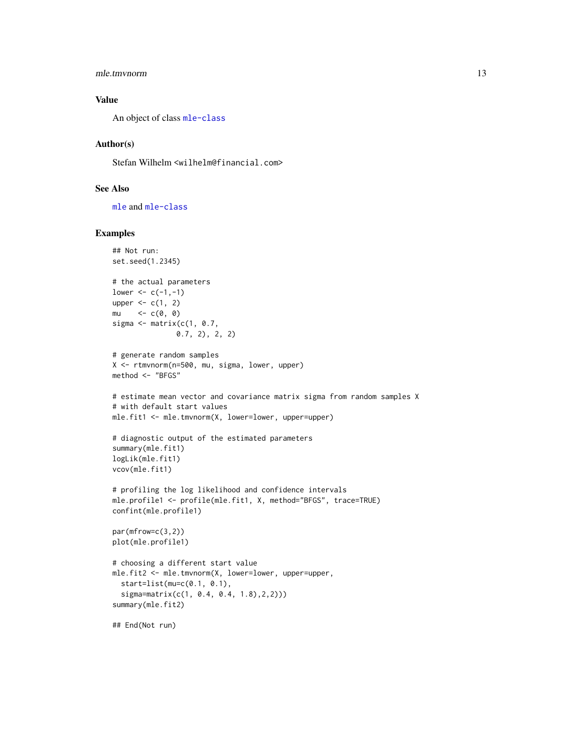#### <span id="page-12-0"></span>mle.tmvnorm 13

#### Value

An object of class [mle-class](#page-0-0)

#### Author(s)

Stefan Wilhelm <wilhelm@financial.com>

#### See Also

[mle](#page-0-0) and [mle-class](#page-0-0)

```
## Not run:
set.seed(1.2345)
# the actual parameters
lower < -c(-1,-1)upper \leq c(1, 2)mu \leq -c(0, 0)sigma \leq matrix(c(1, 0.7,
               0.7, 2), 2, 2)
# generate random samples
X <- rtmvnorm(n=500, mu, sigma, lower, upper)
method <- "BFGS"
# estimate mean vector and covariance matrix sigma from random samples X
# with default start values
mle.fit1 <- mle.tmvnorm(X, lower=lower, upper=upper)
# diagnostic output of the estimated parameters
summary(mle.fit1)
logLik(mle.fit1)
vcov(mle.fit1)
# profiling the log likelihood and confidence intervals
mle.profile1 <- profile(mle.fit1, X, method="BFGS", trace=TRUE)
confint(mle.profile1)
par(mfrow=c(3,2))
plot(mle.profile1)
# choosing a different start value
mle.fit2 <- mle.tmvnorm(X, lower=lower, upper=upper,
  start=list(mu=c(0.1, 0.1),
  sigma=matrix(c(1, 0.4, 0.4, 1.8),2,2)))
summary(mle.fit2)
## End(Not run)
```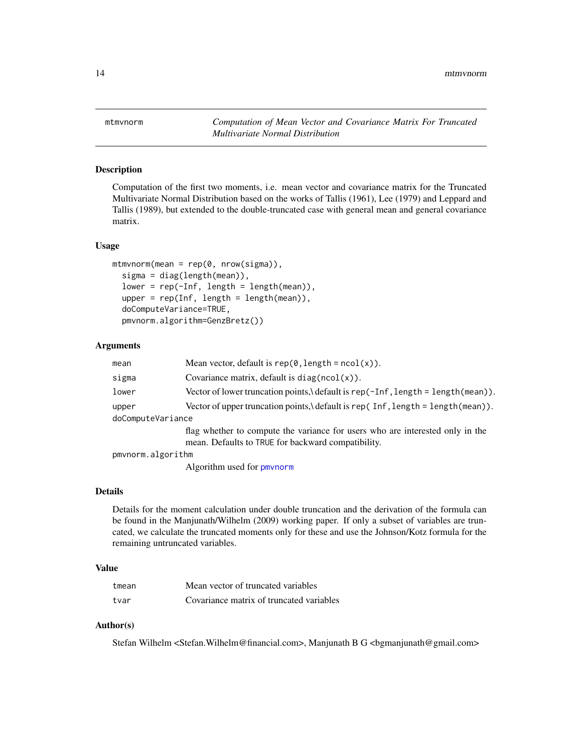<span id="page-13-1"></span><span id="page-13-0"></span>mtmvnorm *Computation of Mean Vector and Covariance Matrix For Truncated Multivariate Normal Distribution*

#### Description

Computation of the first two moments, i.e. mean vector and covariance matrix for the Truncated Multivariate Normal Distribution based on the works of Tallis (1961), Lee (1979) and Leppard and Tallis (1989), but extended to the double-truncated case with general mean and general covariance matrix.

#### Usage

```
mtmvnorm(mean = rep(0, nrow(sigma)),sigma = diag(length(mean)),
  lower = rep(-Inf, length = length(mean)),
  upper = rep(Inf, length = length(mean)),doComputeVariance=TRUE,
  pmvnorm.algorithm=GenzBretz())
```
#### Arguments

| mean              | Mean vector, default is $rep(0, length = ncol(x))$ .                                                                                |  |
|-------------------|-------------------------------------------------------------------------------------------------------------------------------------|--|
| sigma             | Covariance matrix, default is $diag(ncol(x))$ .                                                                                     |  |
| lower             | Vector of lower truncation points, \ default is rep(-Inf, length = length(mean)).                                                   |  |
| upper             | Vector of upper truncation points, default is rep( $Inf$ , length = length(mean)).                                                  |  |
| doComputeVariance |                                                                                                                                     |  |
|                   | flag whether to compute the variance for users who are interested only in the<br>mean. Defaults to TRUE for backward compatibility. |  |
| pmynorm.algorithm |                                                                                                                                     |  |

Algorithm used for [pmvnorm](#page-0-0)

#### Details

Details for the moment calculation under double truncation and the derivation of the formula can be found in the Manjunath/Wilhelm (2009) working paper. If only a subset of variables are truncated, we calculate the truncated moments only for these and use the Johnson/Kotz formula for the remaining untruncated variables.

#### Value

| tmean | Mean vector of truncated variables       |
|-------|------------------------------------------|
| tvar  | Covariance matrix of truncated variables |

#### Author(s)

Stefan Wilhelm <Stefan.Wilhelm@financial.com>, Manjunath B G <br/> <br/> <br/> <br/>edmaniunath@gmail.com>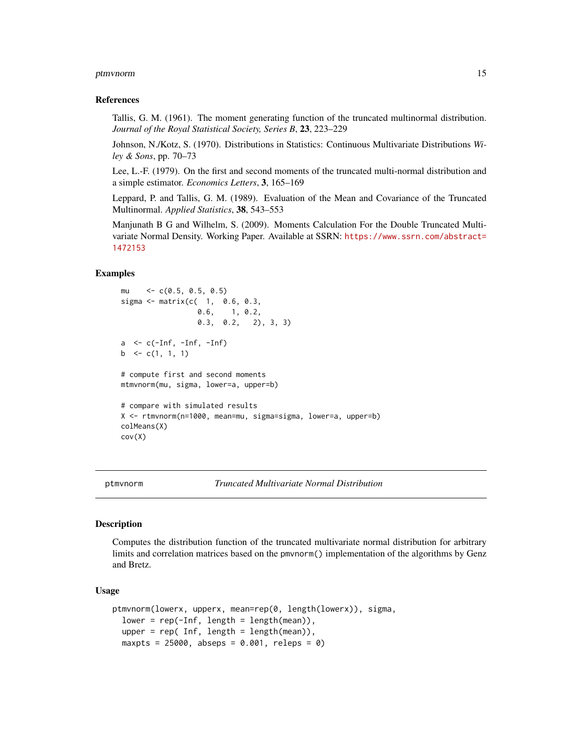#### <span id="page-14-0"></span>ptmvnorm to the contract of the contract of the contract of the contract of the contract of the contract of the contract of the contract of the contract of the contract of the contract of the contract of the contract of th

#### References

Tallis, G. M. (1961). The moment generating function of the truncated multinormal distribution. *Journal of the Royal Statistical Society, Series B*, 23, 223–229

Johnson, N./Kotz, S. (1970). Distributions in Statistics: Continuous Multivariate Distributions *Wiley & Sons*, pp. 70–73

Lee, L.-F. (1979). On the first and second moments of the truncated multi-normal distribution and a simple estimator. *Economics Letters*, 3, 165–169

Leppard, P. and Tallis, G. M. (1989). Evaluation of the Mean and Covariance of the Truncated Multinormal. *Applied Statistics*, 38, 543–553

Manjunath B G and Wilhelm, S. (2009). Moments Calculation For the Double Truncated Multivariate Normal Density. Working Paper. Available at SSRN: [https://www.ssrn.com/abstract=](https://www.ssrn.com/abstract=1472153) [1472153](https://www.ssrn.com/abstract=1472153)

#### Examples

```
mu <- c(0.5, 0.5, 0.5)
sigma <- matrix(c( 1, 0.6, 0.3,
                 0.6, 1, 0.2,
                 0.3, 0.2, 2), 3, 3)
a \leq c(-Inf, -Inf, -Inf)b \leq c(1, 1, 1)
# compute first and second moments
mtmvnorm(mu, sigma, lower=a, upper=b)
# compare with simulated results
X <- rtmvnorm(n=1000, mean=mu, sigma=sigma, lower=a, upper=b)
colMeans(X)
cov(X)
```
<span id="page-14-1"></span>

ptmvnorm *Truncated Multivariate Normal Distribution*

#### **Description**

Computes the distribution function of the truncated multivariate normal distribution for arbitrary limits and correlation matrices based on the pmvnorm() implementation of the algorithms by Genz and Bretz.

#### Usage

```
ptmvnorm(lowerx, upperx, mean=rep(0, length(lowerx)), sigma,
  lower = rep(-Inf, length = length(mean)),upper = rep( Inf, length = length(mean)),
 maxpts = 25000, abseps = 0.001, releps = 0)
```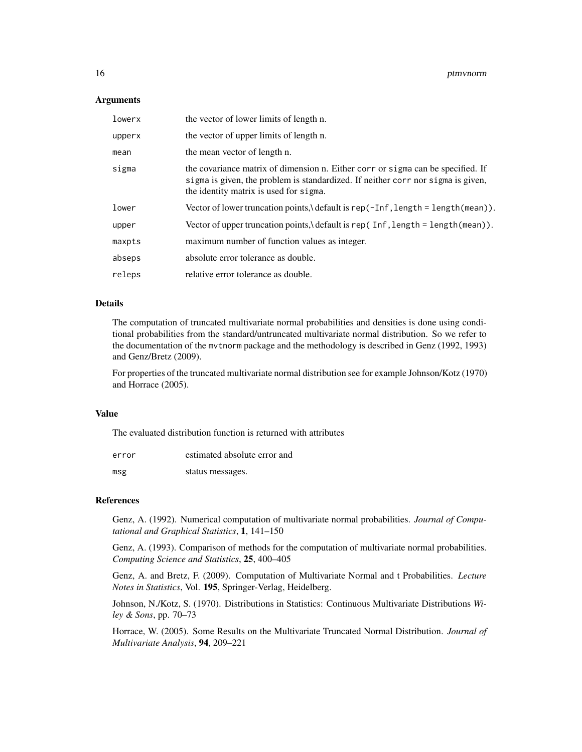#### **Arguments**

| lowerx | the vector of lower limits of length n.                                                                                                                                                                       |
|--------|---------------------------------------------------------------------------------------------------------------------------------------------------------------------------------------------------------------|
| upperx | the vector of upper limits of length n.                                                                                                                                                                       |
| mean   | the mean vector of length n.                                                                                                                                                                                  |
| sigma  | the covariance matrix of dimension n. Either corr or sigma can be specified. If<br>sigma is given, the problem is standardized. If neither corr nor sigma is given,<br>the identity matrix is used for sigma. |
| lower  | Vector of lower truncation points, \ default is rep(-Inf, length = length(mean)).                                                                                                                             |
| upper  | Vector of upper truncation points, \ default is rep(Inf, length = length(mean)).                                                                                                                              |
| maxpts | maximum number of function values as integer.                                                                                                                                                                 |
| abseps | absolute error tolerance as double.                                                                                                                                                                           |
| releps | relative error tolerance as double.                                                                                                                                                                           |

#### Details

The computation of truncated multivariate normal probabilities and densities is done using conditional probabilities from the standard/untruncated multivariate normal distribution. So we refer to the documentation of the mvtnorm package and the methodology is described in Genz (1992, 1993) and Genz/Bretz (2009).

For properties of the truncated multivariate normal distribution see for example Johnson/Kotz (1970) and Horrace (2005).

#### Value

The evaluated distribution function is returned with attributes

| error | estimated absolute error and |
|-------|------------------------------|
| msg   | status messages.             |

#### References

Genz, A. (1992). Numerical computation of multivariate normal probabilities. *Journal of Computational and Graphical Statistics*, 1, 141–150

Genz, A. (1993). Comparison of methods for the computation of multivariate normal probabilities. *Computing Science and Statistics*, 25, 400–405

Genz, A. and Bretz, F. (2009). Computation of Multivariate Normal and t Probabilities. *Lecture Notes in Statistics*, Vol. 195, Springer-Verlag, Heidelberg.

Johnson, N./Kotz, S. (1970). Distributions in Statistics: Continuous Multivariate Distributions *Wiley & Sons*, pp. 70–73

Horrace, W. (2005). Some Results on the Multivariate Truncated Normal Distribution. *Journal of Multivariate Analysis*, 94, 209–221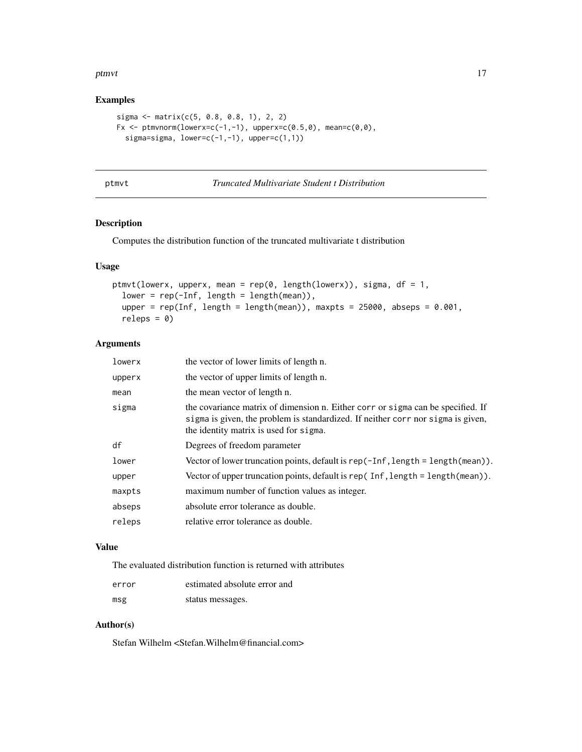#### <span id="page-16-0"></span>ptmvt to the contract of the contract of the contract of the contract of the contract of the contract of the contract of the contract of the contract of the contract of the contract of the contract of the contract of the c

### Examples

```
sigma <- matrix(c(5, 0.8, 0.8, 1), 2, 2)
Fx <- ptmvnorm(lowerx=c(-1,-1), upperx=c(0.5,0), mean=c(0,0),
  sigma=sigma, lower=c(-1,-1), upper=c(1,1))
```
<span id="page-16-1"></span>

|  | ۰ |  |
|--|---|--|
|  |   |  |

#### t **Truncated Multivariate Student t Distribution**

#### Description

Computes the distribution function of the truncated multivariate t distribution

#### Usage

```
ptmvt(lowerx, upperx, mean = rep(0, length(lowerx)), sigma, df = 1,
  lower = rep(-Inf, length = length(mean)),upper = rep(Inf, length = length(mean)), maxpts = 25000, abseps = 0.001,releps = 0
```
#### Arguments

| lowerx | the vector of lower limits of length n.                                                                                                                                                                       |
|--------|---------------------------------------------------------------------------------------------------------------------------------------------------------------------------------------------------------------|
| upperx | the vector of upper limits of length n.                                                                                                                                                                       |
| mean   | the mean vector of length n.                                                                                                                                                                                  |
| sigma  | the covariance matrix of dimension n. Either corr or sigma can be specified. If<br>sigma is given, the problem is standardized. If neither corr nor sigma is given,<br>the identity matrix is used for sigma. |
| df     | Degrees of freedom parameter                                                                                                                                                                                  |
| lower  | Vector of lower truncation points, default is rep(-Inf, length = length(mean)).                                                                                                                               |
| upper  | Vector of upper truncation points, default is rep(Inf, length = length(mean)).                                                                                                                                |
| maxpts | maximum number of function values as integer.                                                                                                                                                                 |
| abseps | absolute error tolerance as double.                                                                                                                                                                           |
| releps | relative error tolerance as double.                                                                                                                                                                           |
|        |                                                                                                                                                                                                               |

#### Value

The evaluated distribution function is returned with attributes

| error | estimated absolute error and |
|-------|------------------------------|
| msg   | status messages.             |

### Author(s)

Stefan Wilhelm <Stefan.Wilhelm@financial.com>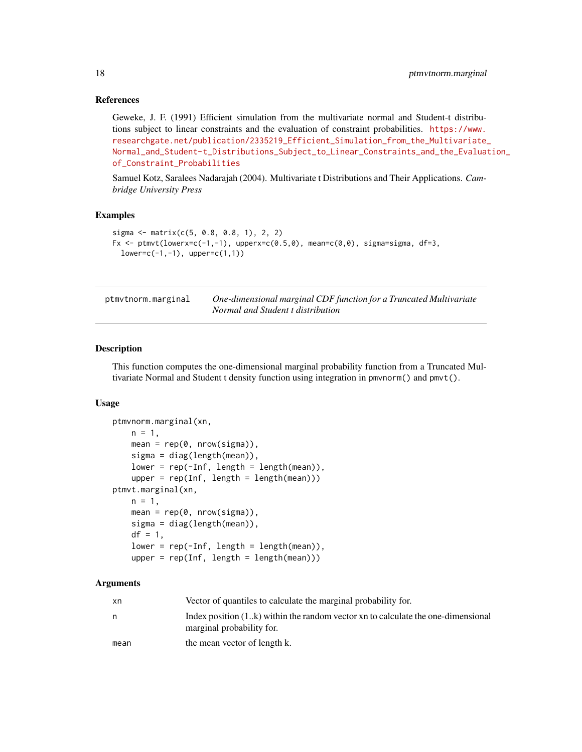#### <span id="page-17-0"></span>References

Geweke, J. F. (1991) Efficient simulation from the multivariate normal and Student-t distributions subject to linear constraints and the evaluation of constraint probabilities. [https://www.](https://www.researchgate.net/publication/2335219_Efficient_Simulation_from_the_Multivariate_Normal_and_Student-t_Distributions_Subject_to_Linear_Constraints_and_the_Evaluation_of_Constraint_Probabilities) [researchgate.net/publication/2335219\\_Efficient\\_Simulation\\_from\\_the\\_Multivariate\\_](https://www.researchgate.net/publication/2335219_Efficient_Simulation_from_the_Multivariate_Normal_and_Student-t_Distributions_Subject_to_Linear_Constraints_and_the_Evaluation_of_Constraint_Probabilities) [Normal\\_and\\_Student-t\\_Distributions\\_Subject\\_to\\_Linear\\_Constraints\\_and\\_the\\_Evaluat](https://www.researchgate.net/publication/2335219_Efficient_Simulation_from_the_Multivariate_Normal_and_Student-t_Distributions_Subject_to_Linear_Constraints_and_the_Evaluation_of_Constraint_Probabilities)ion\_ [of\\_Constraint\\_Probabilities](https://www.researchgate.net/publication/2335219_Efficient_Simulation_from_the_Multivariate_Normal_and_Student-t_Distributions_Subject_to_Linear_Constraints_and_the_Evaluation_of_Constraint_Probabilities)

Samuel Kotz, Saralees Nadarajah (2004). Multivariate t Distributions and Their Applications. *Cambridge University Press*

#### Examples

```
sigma \leq matrix(c(5, 0.8, 0.8, 1), 2, 2)
Fx \le ptmvt(lowerx=c(-1,-1), upperx=c(0.5,0), mean=c(0,0), sigma=sigma, df=3,
 lower=c(-1,-1), upper=c(1,1))
```

| ptmvtnorm.marginal | One-dimensional marginal CDF function for a Truncated Multivariate |
|--------------------|--------------------------------------------------------------------|
|                    | Normal and Student t distribution                                  |

#### Description

This function computes the one-dimensional marginal probability function from a Truncated Multivariate Normal and Student t density function using integration in pmvnorm() and pmvt().

#### Usage

```
ptmvnorm.marginal(xn,
   n = 1,
   mean = rep(0, nrow(sigma)),sigma = diag(length(mean)),
   lower = rep(-Inf, length = length(mean)),upper = rep(Inf, length = length(mean)))ptmvt.marginal(xn,
   n = 1,
   mean = rep(0, nrow(sigma)),sigma = diag(length(mean)),
   df = 1,
   lower = rep(-Inf, length = length(mean)),upper = rep(Inf, length = length(mean)))
```
#### Arguments

| xn   | Vector of quantiles to calculate the marginal probability for.                                                  |
|------|-----------------------------------------------------------------------------------------------------------------|
|      | Index position $(1k)$ within the random vector xn to calculate the one-dimensional<br>marginal probability for. |
| mean | the mean vector of length k.                                                                                    |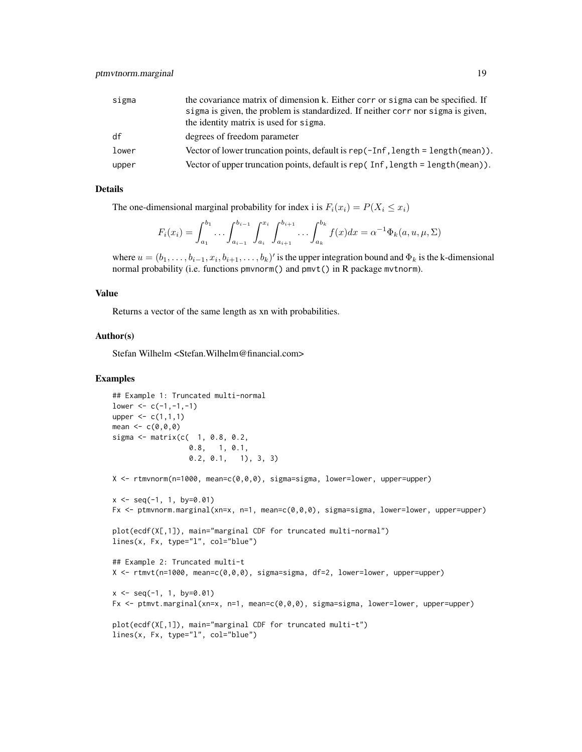| sigma | the covariance matrix of dimension k. Either corr or sigma can be specified. If     |
|-------|-------------------------------------------------------------------------------------|
|       | sigma is given, the problem is standardized. If neither corr nor sigma is given,    |
|       | the identity matrix is used for sigma.                                              |
| df    | degrees of freedom parameter                                                        |
| lower | Vector of lower truncation points, default is rep( $-Inf$ , length = length(mean)). |
| upper | Vector of upper truncation points, default is rep( $Inf$ , length = length(mean)).  |

#### Details

The one-dimensional marginal probability for index i is  $F_i(x_i) = P(X_i \leq x_i)$ 

$$
F_i(x_i) = \int_{a_1}^{b_1} \dots \int_{a_{i-1}}^{b_{i-1}} \int_{a_i}^{x_i} \int_{a_{i+1}}^{b_{i+1}} \dots \int_{a_k}^{b_k} f(x) dx = \alpha^{-1} \Phi_k(a, u, \mu, \Sigma)
$$

where  $u = (b_1, \ldots, b_{i-1}, x_i, b_{i+1}, \ldots, b_k)'$  is the upper integration bound and  $\Phi_k$  is the k-dimensional normal probability (i.e. functions pmvnorm() and pmvt() in R package mvtnorm).

#### Value

Returns a vector of the same length as xn with probabilities.

#### Author(s)

Stefan Wilhelm <Stefan.Wilhelm@financial.com>

```
## Example 1: Truncated multi-normal
lower < -c(-1,-1,-1)upper \leq c(1,1,1)mean <-c(0,0,0)sigma <- matrix(c( 1, 0.8, 0.2,
                  0.8, 1, 0.1,
                   0.2, 0.1, 1), 3, 3)
X <- rtmvnorm(n=1000, mean=c(0,0,0), sigma=sigma, lower=lower, upper=upper)
x \leq -\text{seq}(-1, 1, \text{ by} = 0.01)Fx <- ptmvnorm.marginal(xn=x, n=1, mean=c(0,0,0), sigma=sigma, lower=lower, upper=upper)
plot(ecdf(X[,1]), main="marginal CDF for truncated multi-normal")
lines(x, Fx, type="l", col="blue")
## Example 2: Truncated multi-t
X <- rtmvt(n=1000, mean=c(0,0,0), sigma=sigma, df=2, lower=lower, upper=upper)
x \leq -\text{seq}(-1, 1, \text{ by} = 0.01)Fx <- ptmvt.marginal(xn=x, n=1, mean=c(0,0,0), sigma=sigma, lower=lower, upper=upper)
plot(ecdf(X[,1]), main="marginal CDF for truncated multi-t")
lines(x, Fx, type="l", col="blue")
```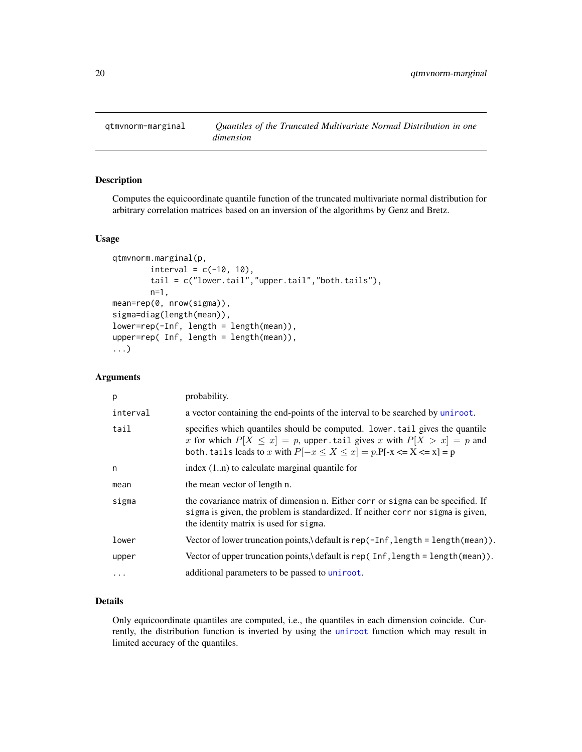<span id="page-19-0"></span>

#### Description

Computes the equicoordinate quantile function of the truncated multivariate normal distribution for arbitrary correlation matrices based on an inversion of the algorithms by Genz and Bretz.

#### Usage

```
qtmvnorm.marginal(p,
        interval = c(-10, 10),
        tail = c("lower.tail","upper.tail","both.tails"),
        n=1,
mean=rep(0, nrow(sigma)),
sigma=diag(length(mean)),
lower=rep(-Inf, length = length(mean)),
upper=rep( Inf, length = length(mean)),
...)
```
#### Arguments

| p        | probability.                                                                                                                                                                                                                           |
|----------|----------------------------------------------------------------------------------------------------------------------------------------------------------------------------------------------------------------------------------------|
| interval | a vector containing the end-points of the interval to be searched by uniroot.                                                                                                                                                          |
| tail     | specifies which quantiles should be computed. lower, tail gives the quantile<br>x for which $P[X \le x] = p$ , upper tail gives x with $P[X > x] = p$ and<br>both. tails leads to x with $P[-x \le X \le x] = p.P[-x \le X \le x] = p$ |
| n        | index $(1n)$ to calculate marginal quantile for                                                                                                                                                                                        |
| mean     | the mean vector of length n.                                                                                                                                                                                                           |
| sigma    | the covariance matrix of dimension n. Either corr or sigma can be specified. If<br>sigma is given, the problem is standardized. If neither corr nor sigma is given,<br>the identity matrix is used for sigma.                          |
| lower    | Vector of lower truncation points, default is $rep(-Inf, length = length(mean))$ .                                                                                                                                                     |
| upper    | Vector of upper truncation points, \ default is rep(Inf, length = length(mean)).                                                                                                                                                       |
| .        | additional parameters to be passed to uniroot.                                                                                                                                                                                         |

#### Details

Only equicoordinate quantiles are computed, i.e., the quantiles in each dimension coincide. Currently, the distribution function is inverted by using the [uniroot](#page-0-0) function which may result in limited accuracy of the quantiles.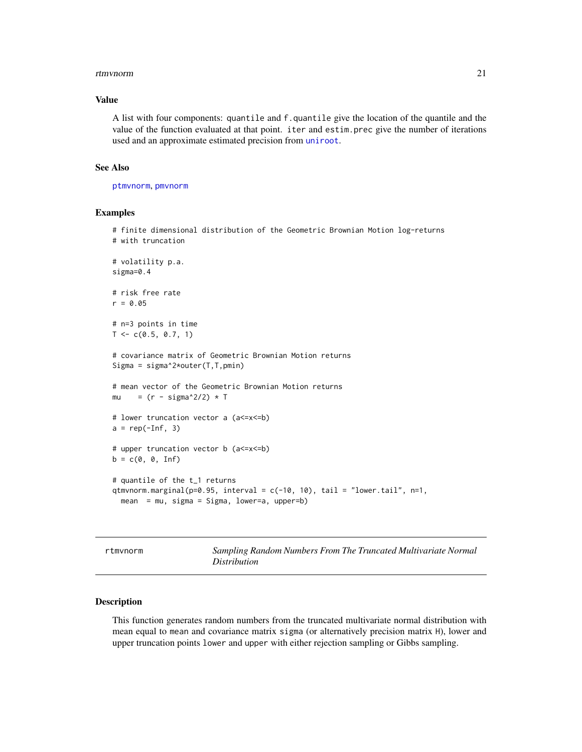#### <span id="page-20-0"></span>rtmvnorm 21

#### Value

A list with four components: quantile and f.quantile give the location of the quantile and the value of the function evaluated at that point. iter and estim.prec give the number of iterations used and an approximate estimated precision from [uniroot](#page-0-0).

#### See Also

[ptmvnorm](#page-14-1), [pmvnorm](#page-0-0)

#### Examples

# finite dimensional distribution of the Geometric Brownian Motion log-returns # with truncation

```
# volatility p.a.
sigma=0.4
```

```
# risk free rate
r = 0.05
```
# n=3 points in time  $T \leq -c(0.5, 0.7, 1)$ 

```
# covariance matrix of Geometric Brownian Motion returns
Sigma = sigma^2*outer(T,T,pmin)
```

```
# mean vector of the Geometric Brownian Motion returns
mu = (r - \text{sigma}^2/2) \cdot \top
```

```
# lower truncation vector a (a<=x<=b)
a = rep(-Inf, 3)
```

```
# upper truncation vector b (a<=x<=b)
b = c(0, 0, \text{Inf})
```

```
# quantile of the t_1 returns
qtmvnorm.marginal(p=0.95, interval = c(-10, 10), tail = "lower.tail", n=1,
 mean = mu, sigma = Sigma, lower=a, upper=b)
```
<span id="page-20-1"></span>rtmvnorm *Sampling Random Numbers From The Truncated Multivariate Normal Distribution*

#### Description

This function generates random numbers from the truncated multivariate normal distribution with mean equal to mean and covariance matrix sigma (or alternatively precision matrix H), lower and upper truncation points lower and upper with either rejection sampling or Gibbs sampling.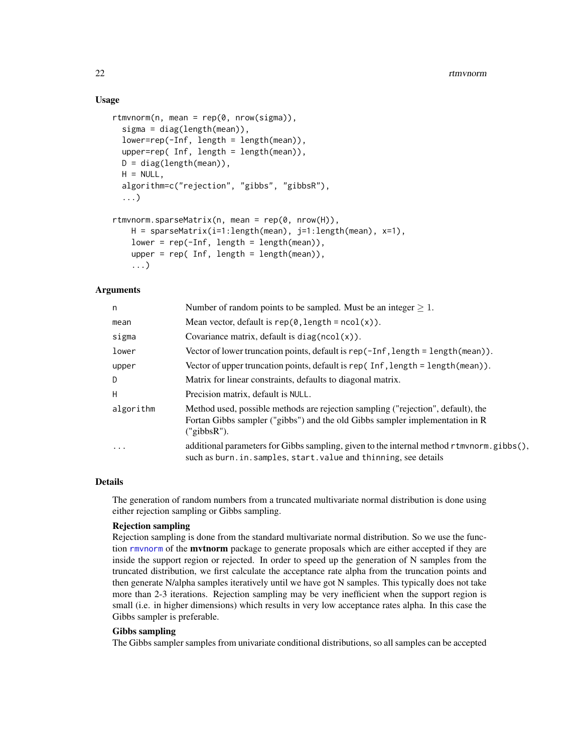#### Usage

```
rtmvnorm(n, mean = rep(0, nrow(sigma)).sigma = diag(length(mean)),
 lower=rep(-Inf, length = length(mean)),
 upper=rep( Inf, length = length(mean)),
 D = diag(length(mean)),
 H = NULL,algorithm=c("rejection", "gibbs", "gibbsR"),
 ...)
rtmvnorm.sparseMatrix(n, mean = rep(0, nrow(H)),
   H = sparseMatrix(i=1:length(mean), j=1:length(mean), x=1),
   lower = rep(-Inf, length = length(mean)),upper = rep( Inf, length = length(mean)),
    ...)
```
#### Arguments

| n         | Number of random points to be sampled. Must be an integer $\geq 1$ .                                                                                                            |
|-----------|---------------------------------------------------------------------------------------------------------------------------------------------------------------------------------|
| mean      | Mean vector, default is $rep(0, length = ncol(x))$ .                                                                                                                            |
| sigma     | Covariance matrix, default is $diag(ncol(x))$ .                                                                                                                                 |
| lower     | Vector of lower truncation points, default is $rep(-Inf, length = length(mean))$ .                                                                                              |
| upper     | Vector of upper truncation points, default is rep(Inf, length = length(mean)).                                                                                                  |
| D         | Matrix for linear constraints, defaults to diagonal matrix.                                                                                                                     |
| H         | Precision matrix, default is NULL.                                                                                                                                              |
| algorithm | Method used, possible methods are rejection sampling ("rejection", default), the<br>Fortan Gibbs sampler ("gibbs") and the old Gibbs sampler implementation in R<br>("gibbsR"). |
| $\ddotsc$ | additional parameters for Gibbs sampling, given to the internal method r tmvnorm.gibbs(),<br>such as burn. in. samples, start. value and thinning, see details                  |

#### Details

The generation of random numbers from a truncated multivariate normal distribution is done using either rejection sampling or Gibbs sampling.

#### Rejection sampling

Rejection sampling is done from the standard multivariate normal distribution. So we use the function rmynorm of the **mythorm** package to generate proposals which are either accepted if they are inside the support region or rejected. In order to speed up the generation of N samples from the truncated distribution, we first calculate the acceptance rate alpha from the truncation points and then generate N/alpha samples iteratively until we have got N samples. This typically does not take more than 2-3 iterations. Rejection sampling may be very inefficient when the support region is small (i.e. in higher dimensions) which results in very low acceptance rates alpha. In this case the Gibbs sampler is preferable.

#### Gibbs sampling

The Gibbs sampler samples from univariate conditional distributions, so all samples can be accepted

<span id="page-21-0"></span>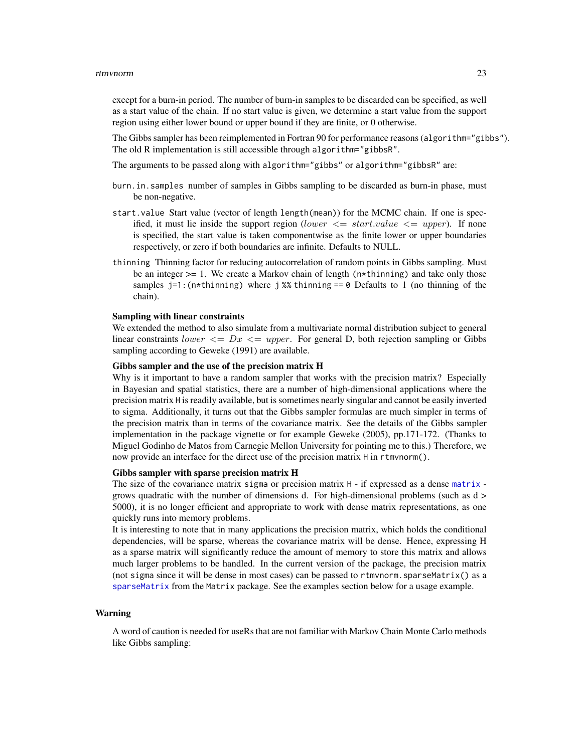#### <span id="page-22-0"></span>rtmvnorm 23

except for a burn-in period. The number of burn-in samples to be discarded can be specified, as well as a start value of the chain. If no start value is given, we determine a start value from the support region using either lower bound or upper bound if they are finite, or 0 otherwise.

The Gibbs sampler has been reimplemented in Fortran 90 for performance reasons (algorithm="gibbs"). The old R implementation is still accessible through algorithm="gibbsR".

The arguments to be passed along with algorithm="gibbs" or algorithm="gibbsR" are:

- burn.in.samples number of samples in Gibbs sampling to be discarded as burn-in phase, must be non-negative.
- start.value Start value (vector of length length(mean)) for the MCMC chain. If one is specified, it must lie inside the support region (lower  $\leq$  start.value  $\leq$  upper). If none is specified, the start value is taken componentwise as the finite lower or upper boundaries respectively, or zero if both boundaries are infinite. Defaults to NULL.
- thinning Thinning factor for reducing autocorrelation of random points in Gibbs sampling. Must be an integer  $>= 1$ . We create a Markov chain of length ( $n$ <sup> $\star$ </sup>thinning) and take only those samples  $j=1$ : (n\*thinning) where j %% thinning  $i=0$  Defaults to 1 (no thinning of the chain).

#### Sampling with linear constraints

We extended the method to also simulate from a multivariate normal distribution subject to general linear constraints lower  $\leq Dx \leq upper$ . For general D, both rejection sampling or Gibbs sampling according to Geweke (1991) are available.

#### Gibbs sampler and the use of the precision matrix H

Why is it important to have a random sampler that works with the precision matrix? Especially in Bayesian and spatial statistics, there are a number of high-dimensional applications where the precision matrix H is readily available, but is sometimes nearly singular and cannot be easily inverted to sigma. Additionally, it turns out that the Gibbs sampler formulas are much simpler in terms of the precision matrix than in terms of the covariance matrix. See the details of the Gibbs sampler implementation in the package vignette or for example Geweke (2005), pp.171-172. (Thanks to Miguel Godinho de Matos from Carnegie Mellon University for pointing me to this.) Therefore, we now provide an interface for the direct use of the precision matrix H in rtmvnorm().

#### Gibbs sampler with sparse precision matrix H

The size of the covariance [matrix](#page-0-0) sigma or precision matrix  $H - i f$  expressed as a dense matrix grows quadratic with the number of dimensions d. For high-dimensional problems (such as d > 5000), it is no longer efficient and appropriate to work with dense matrix representations, as one quickly runs into memory problems.

It is interesting to note that in many applications the precision matrix, which holds the conditional dependencies, will be sparse, whereas the covariance matrix will be dense. Hence, expressing H as a sparse matrix will significantly reduce the amount of memory to store this matrix and allows much larger problems to be handled. In the current version of the package, the precision matrix (not sigma since it will be dense in most cases) can be passed to rtmvnorm.sparseMatrix() as a [sparseMatrix](#page-0-0) from the Matrix package. See the examples section below for a usage example.

#### Warning

A word of caution is needed for useRs that are not familiar with Markov Chain Monte Carlo methods like Gibbs sampling: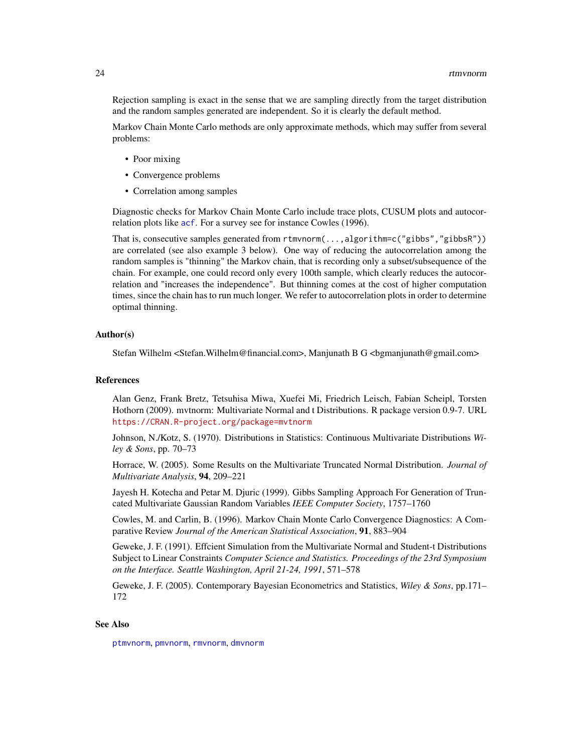<span id="page-23-0"></span>Rejection sampling is exact in the sense that we are sampling directly from the target distribution and the random samples generated are independent. So it is clearly the default method.

Markov Chain Monte Carlo methods are only approximate methods, which may suffer from several problems:

- Poor mixing
- Convergence problems
- Correlation among samples

Diagnostic checks for Markov Chain Monte Carlo include trace plots, CUSUM plots and autocorrelation plots like [acf](#page-0-0). For a survey see for instance Cowles (1996).

That is, consecutive samples generated from rtmvnorm(...,algorithm=c("gibbs","gibbsR")) are correlated (see also example 3 below). One way of reducing the autocorrelation among the random samples is "thinning" the Markov chain, that is recording only a subset/subsequence of the chain. For example, one could record only every 100th sample, which clearly reduces the autocorrelation and "increases the independence". But thinning comes at the cost of higher computation times, since the chain has to run much longer. We refer to autocorrelation plots in order to determine optimal thinning.

#### Author(s)

Stefan Wilhelm <Stefan.Wilhelm@financial.com>, Manjunath B G <bgmanjunath@gmail.com>

#### References

Alan Genz, Frank Bretz, Tetsuhisa Miwa, Xuefei Mi, Friedrich Leisch, Fabian Scheipl, Torsten Hothorn (2009). mvtnorm: Multivariate Normal and t Distributions. R package version 0.9-7. URL <https://CRAN.R-project.org/package=mvtnorm>

Johnson, N./Kotz, S. (1970). Distributions in Statistics: Continuous Multivariate Distributions *Wiley & Sons*, pp. 70–73

Horrace, W. (2005). Some Results on the Multivariate Truncated Normal Distribution. *Journal of Multivariate Analysis*, 94, 209–221

Jayesh H. Kotecha and Petar M. Djuric (1999). Gibbs Sampling Approach For Generation of Truncated Multivariate Gaussian Random Variables *IEEE Computer Society*, 1757–1760

Cowles, M. and Carlin, B. (1996). Markov Chain Monte Carlo Convergence Diagnostics: A Comparative Review *Journal of the American Statistical Association*, 91, 883–904

Geweke, J. F. (1991). Effcient Simulation from the Multivariate Normal and Student-t Distributions Subject to Linear Constraints *Computer Science and Statistics. Proceedings of the 23rd Symposium on the Interface. Seattle Washington, April 21-24, 1991*, 571–578

Geweke, J. F. (2005). Contemporary Bayesian Econometrics and Statistics, *Wiley & Sons*, pp.171– 172

#### See Also

[ptmvnorm](#page-14-1), [pmvnorm](#page-0-0), [rmvnorm](#page-0-0), [dmvnorm](#page-0-0)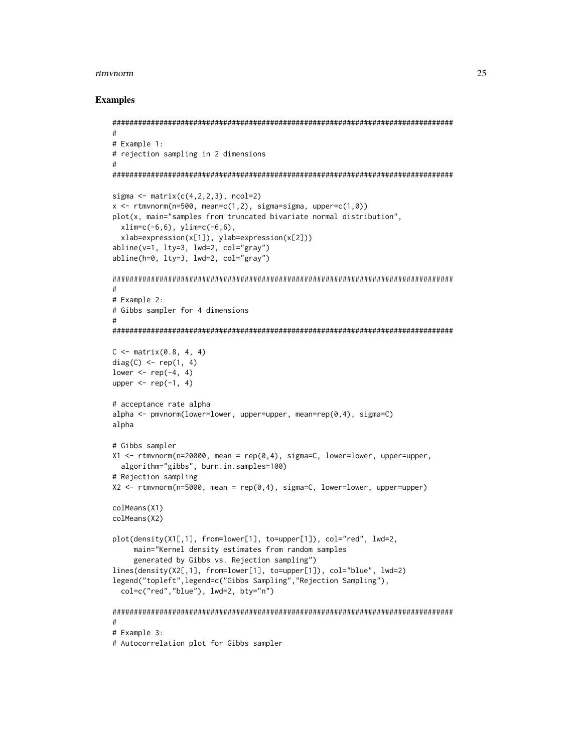#### rtmvnorm 25

```
################################################################################
#
# Example 1:
# rejection sampling in 2 dimensions
#
################################################################################
sigma \leq matrix(c(4,2,2,3), ncol=2)
x \le rtmvnorm(n=500, mean=c(1,2), sigma=sigma, upper=c(1,0))
plot(x, main="samples from truncated bivariate normal distribution",
  xlim=c(-6,6), ylim=c(-6,6),
  xlab=expression(x[1]), ylab=expression(x[2]))
abline(v=1, lty=3, lwd=2, col="gray")
abline(h=0, lty=3, lwd=2, col="gray")
################################################################################
#
# Example 2:
# Gibbs sampler for 4 dimensions
#
################################################################################
C \leq - matrix(0.8, 4, 4)
diag(C) \leq rep(1, 4)
lower \leq rep(-4, 4)
upper \leq rep(-1, 4)
# acceptance rate alpha
alpha <- pmvnorm(lower=lower, upper=upper, mean=rep(0,4), sigma=C)
alpha
# Gibbs sampler
X1 \le rtmvnorm(n=20000, mean = rep(0,4), sigma=C, lower=lower, upper=upper,
  algorithm="gibbs", burn.in.samples=100)
# Rejection sampling
X2 <- rtmvnorm(n=5000, mean = rep(0,4), sigma=C, lower=lower, upper=upper)
colMeans(X1)
colMeans(X2)
plot(density(X1[,1], from=lower[1], to=upper[1]), col="red", lwd=2,
     main="Kernel density estimates from random samples
     generated by Gibbs vs. Rejection sampling")
lines(density(X2[,1], from=lower[1], to=upper[1]), col="blue", lwd=2)
legend("topleft",legend=c("Gibbs Sampling","Rejection Sampling"),
  col=c("red","blue"), lwd=2, bty="n")
################################################################################
#
# Example 3:
# Autocorrelation plot for Gibbs sampler
```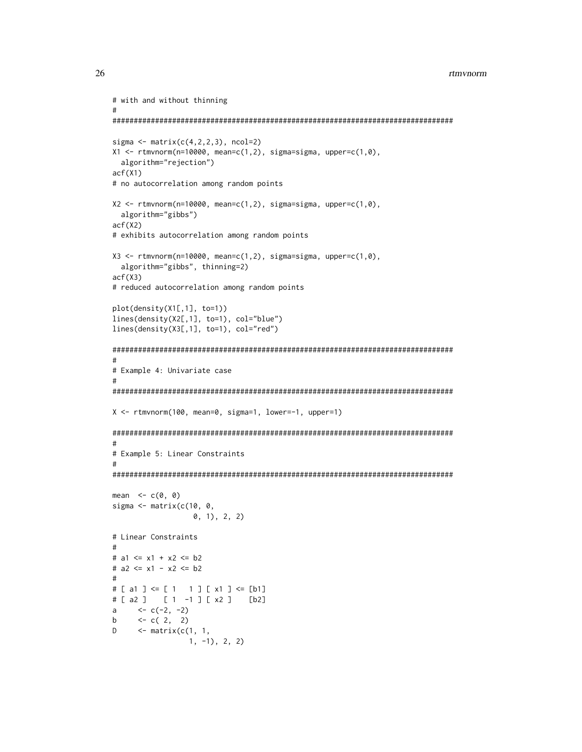```
# with and without thinning
#
################################################################################
sigma \leq matrix(c(4,2,2,3), ncol=2)
X1 \le rtmvnorm(n=10000, mean=c(1,2), sigma=sigma, upper=c(1,0),
  algorithm="rejection")
acf(X1)
# no autocorrelation among random points
X2 \leq rtmvnorm(n=10000, mean=c(1,2), sigma=sigma, upper=c(1,0),
  algorithm="gibbs")
acf(X2)
# exhibits autocorrelation among random points
X3 \leq rtmvnorm(n=10000, mean=c(1,2), sigma=sigma, upper=c(1,0),
  algorithm="gibbs", thinning=2)
acf(X3)
# reduced autocorrelation among random points
plot(density(X1[,1], to=1))
lines(density(X2[,1], to=1), col="blue")
lines(density(X3[,1], to=1), col="red")
################################################################################
#
# Example 4: Univariate case
#
################################################################################
X <- rtmvnorm(100, mean=0, sigma=1, lower=-1, upper=1)
################################################################################
#
# Example 5: Linear Constraints
#
################################################################################
mean \leq c(0, 0)
sigma \leq matrix(c(10, 0, 0)0, 1), 2, 2)
# Linear Constraints
#
# a1 \leq x1 + x2 \leq b2# a2 <= x1 - x2 <= b2
#
# [ a1 ] <= [ 1 1 ] [ x1 ] <= [b1]
# [ a2 ] [ 1 -1 ] [ x2 ] [b2]
a <-c(-2, -2)b \leftarrow c( 2, 2)
D \leq matrix(c(1, 1,
                  1, -1), 2, 2)
```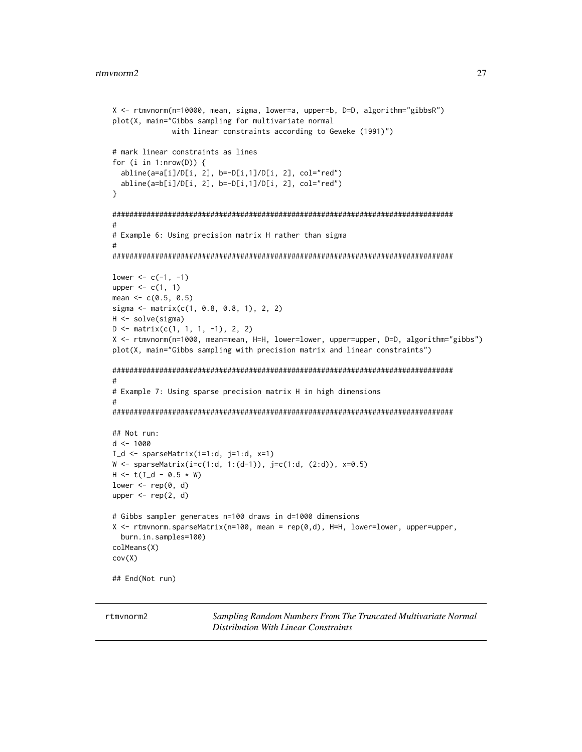```
X <- rtmvnorm(n=10000, mean, sigma, lower=a, upper=b, D=D, algorithm="gibbsR")
plot(X, main="Gibbs sampling for multivariate normal
              with linear constraints according to Geweke (1991)")
# mark linear constraints as lines
for (i in 1: nrow(D)) {
 abline(a=a[i]/D[i, 2], b=-D[i,1]/D[i, 2], col="red")
 abline(a=b[i]/D[i, 2], b=-D[i,1]/D[i, 2], col="red")
}
################################################################################
#
# Example 6: Using precision matrix H rather than sigma
#
################################################################################
lower <-c(-1, -1)upper \leq c(1, 1)
mean <-c(0.5, 0.5)sigma <- matrix(c(1, 0.8, 0.8, 1), 2, 2)
H <- solve(sigma)
D \leftarrow matrix(c(1, 1, 1, -1), 2, 2)X <- rtmvnorm(n=1000, mean=mean, H=H, lower=lower, upper=upper, D=D, algorithm="gibbs")
plot(X, main="Gibbs sampling with precision matrix and linear constraints")
################################################################################
#
# Example 7: Using sparse precision matrix H in high dimensions
#
################################################################################
## Not run:
d <- 1000
I_d \leftarrow sparseMatrix(i=1:d, j=1:d, x=1)
W <- sparseMatrix(i=c(1:d, 1:(d-1)), j=c(1:d, (2:d)), x=0.5)
H < -t(I_d - 0.5 * W)lower \leq rep(0, d)
upper \leq rep(2, d)
# Gibbs sampler generates n=100 draws in d=1000 dimensions
X <- rtmvnorm.sparseMatrix(n=100, mean = rep(0,d), H=H, lower=lower, upper=upper,
 burn.in.samples=100)
colMeans(X)
cov(X)
## End(Not run)
```
rtmvnorm2 *Sampling Random Numbers From The Truncated Multivariate Normal Distribution With Linear Constraints*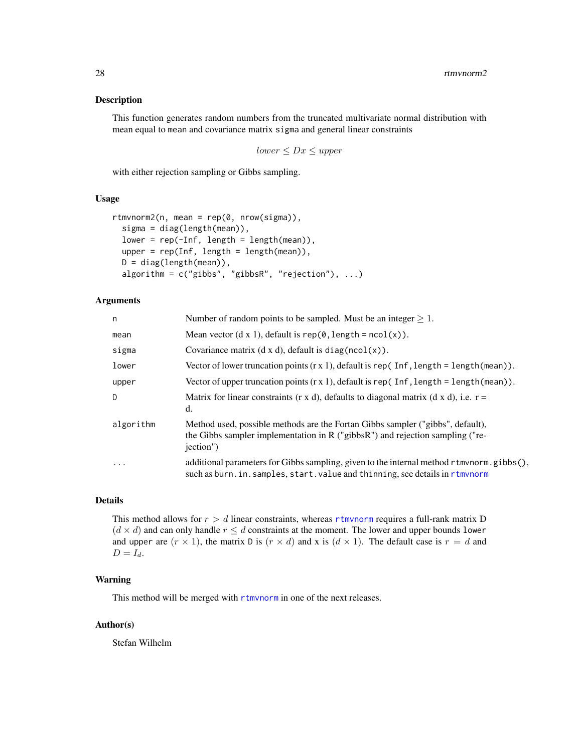#### <span id="page-27-0"></span>Description

This function generates random numbers from the truncated multivariate normal distribution with mean equal to mean and covariance matrix sigma and general linear constraints

 $lower \leq Dx \leq upper$ 

with either rejection sampling or Gibbs sampling.

#### Usage

```
rtmvnorm2(n, mean = rep(0, nrow(sigma)),
  sigma = diag(length(mean)),
  lower = rep(-Inf, length = length(mean)),upper = rep(Inf, length = length(mean)),
 D = diag(length(mean)),
 algorithm = c("gibbs", "gibbsR", "rejection"), ...
```
#### Arguments

| n         | Number of random points to be sampled. Must be an integer $\geq 1$ .                                                                                                               |
|-----------|------------------------------------------------------------------------------------------------------------------------------------------------------------------------------------|
| mean      | Mean vector $(d \times 1)$ , default is rep $(0, length = ncol(x))$ .                                                                                                              |
| sigma     | Covariance matrix $(d \times d)$ , default is diag(ncol(x)).                                                                                                                       |
| lower     | Vector of lower truncation points $(r x 1)$ , default is rep(Inf, length = length(mean)).                                                                                          |
| upper     | Vector of upper truncation points $(r x 1)$ , default is rep(Inf, length = length (mean)).                                                                                         |
| D         | Matrix for linear constraints (r x d), defaults to diagonal matrix (d x d), i.e. $r =$<br>d.                                                                                       |
| algorithm | Method used, possible methods are the Fortan Gibbs sampler ("gibbs", default),<br>the Gibbs sampler implementation in $R$ ("gibbs $R$ ") and rejection sampling ("re-<br>jection") |
| $\ddotsc$ | additional parameters for Gibbs sampling, given to the internal method r tmvnorm. gibbs (),<br>such as burn. in. samples, start. value and thinning, see details in rtmynorm       |

#### Details

This method allows for  $r > d$  linear constraints, whereas [rtmvnorm](#page-20-1) requires a full-rank matrix D  $(d \times d)$  and can only handle  $r \leq d$  constraints at the moment. The lower and upper bounds lower and upper are  $(r \times 1)$ , the matrix D is  $(r \times d)$  and x is  $(d \times 1)$ . The default case is  $r = d$  and  $D = I_d$ .

#### Warning

This method will be merged with [rtmvnorm](#page-20-1) in one of the next releases.

#### Author(s)

Stefan Wilhelm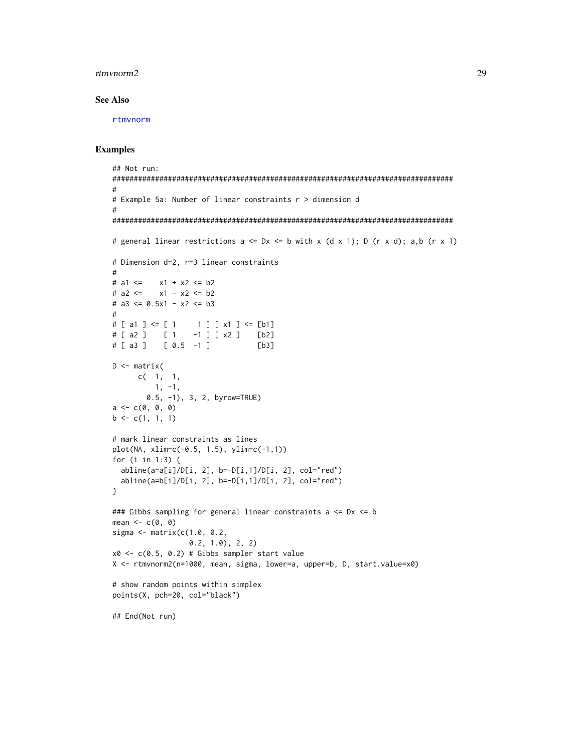#### <span id="page-28-0"></span>rtmvnorm2 29

#### See Also

[rtmvnorm](#page-20-1)

```
## Not run:
################################################################################
#
# Example 5a: Number of linear constraints r > dimension d
#
################################################################################
# general linear restrictions a \leq Dx \leq b with x (d x 1); D (r x d); a,b (r x 1)
# Dimension d=2, r=3 linear constraints
#
# a1 <= x1 + x2 <= b2
# a2 \le x1 - x2 \le b2# a3 \leq 0.5x1 - x2 \leq b3#
# [ a1 ] <= [ 1 1 ] [ x1 ] <= [b1]
# [ a2 ] [ 1 -1 ] [ x2 ] [b2]
# [ a3 ] [ 0.5 -1 ] [b3]
D \leq - matrix(
      c( 1, 1,
         1, -1,
       0.5, -1), 3, 2, byrow=TRUE)
a \leftarrow c(0, 0, 0)b \leftarrow c(1, 1, 1)# mark linear constraints as lines
plot(NA, xlim=c(-0.5, 1.5), ylim=c(-1,1))
for (i in 1:3) {
  abline(a=a[i]/D[i, 2], b=-D[i,1]/D[i, 2], col="red")
  abline(a=b[i]/D[i, 2], b=-D[i,1]/D[i, 2], col="red")
}
### Gibbs sampling for general linear constraints a <= Dx <= b
mean <-c(0, 0)sigma <- matrix(c(1.0, 0.2,
                  0.2, 1.0), 2, 2)
x0 \leq c(0.5, 0.2) # Gibbs sampler start value
X <- rtmvnorm2(n=1000, mean, sigma, lower=a, upper=b, D, start.value=x0)
# show random points within simplex
points(X, pch=20, col="black")
## End(Not run)
```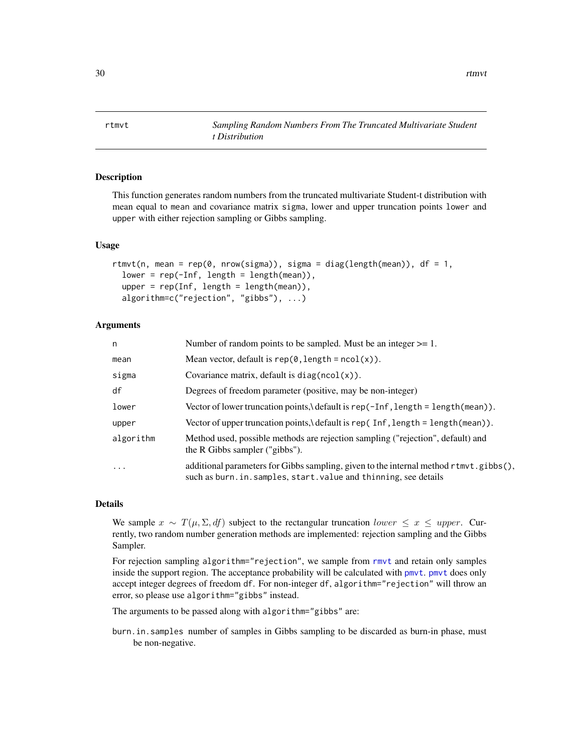<span id="page-29-0"></span>30 rtmvt

<span id="page-29-1"></span>rtmvt *Sampling Random Numbers From The Truncated Multivariate Student t Distribution*

#### **Description**

This function generates random numbers from the truncated multivariate Student-t distribution with mean equal to mean and covariance matrix sigma, lower and upper truncation points lower and upper with either rejection sampling or Gibbs sampling.

#### Usage

```
rtmvt(n, mean = rep(0, nrow(sigma)), sigma = diag(length(mean)), df = 1,
  lower = rep(-Inf, length = length(mean)),
  upper = rep(Inf, length = length(mean)),
  algorithm=c("rejection", "gibbs"), ...)
```
#### Arguments

| n         | Number of random points to be sampled. Must be an integer $>= 1$ .                                                                                         |
|-----------|------------------------------------------------------------------------------------------------------------------------------------------------------------|
| mean      | Mean vector, default is $rep(0, length = ncol(x))$ .                                                                                                       |
| sigma     | Covariance matrix, default is $diag(ncol(x))$ .                                                                                                            |
| df        | Degrees of freedom parameter (positive, may be non-integer)                                                                                                |
| lower     | Vector of lower truncation points, default is rep( $-Inf$ , length = length(mean)).                                                                        |
| upper     | Vector of upper truncation points, default is rep( $Inf$ , length = length(mean)).                                                                         |
| algorithm | Method used, possible methods are rejection sampling ("rejection", default) and<br>the R Gibbs sampler ("gibbs").                                          |
| $\cdot$   | additional parameters for Gibbs sampling, given to the internal method rtmvt.gibbs(),<br>such as burn. in. samples, start. value and thinning, see details |

#### Details

We sample  $x \sim T(\mu, \Sigma, df)$  subject to the rectangular truncation lower  $\leq x \leq upper$ . Currently, two random number generation methods are implemented: rejection sampling and the Gibbs Sampler.

For rejection sampling algorithm="rejection", we sample from [rmvt](#page-0-0) and retain only samples inside the support region. The acceptance probability will be calculated with [pmvt](#page-0-0). [pmvt](#page-0-0) does only accept integer degrees of freedom df. For non-integer df, algorithm="rejection" will throw an error, so please use algorithm="gibbs" instead.

The arguments to be passed along with algorithm="gibbs" are:

burn.in.samples number of samples in Gibbs sampling to be discarded as burn-in phase, must be non-negative.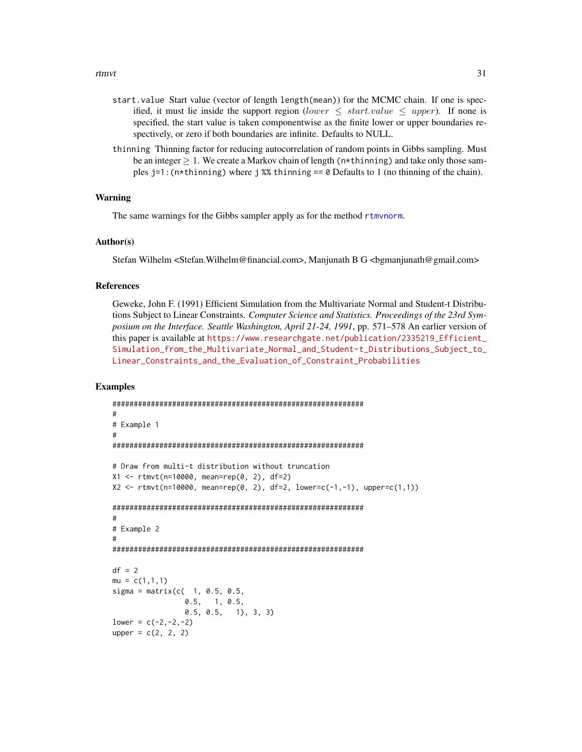- <span id="page-30-0"></span>start.value Start value (vector of length length(mean)) for the MCMC chain. If one is specified, it must lie inside the support region (lower  $\leq$  start.value  $\leq$  upper). If none is specified, the start value is taken componentwise as the finite lower or upper boundaries respectively, or zero if both boundaries are infinite. Defaults to NULL.
- thinning Thinning factor for reducing autocorrelation of random points in Gibbs sampling. Must be an integer  $\geq 1$ . We create a Markov chain of length (n\*thinning) and take only those samples  $j=1$ : (n\*thinning) where j %% thinning  $j=0$  Defaults to 1 (no thinning of the chain).

#### Warning

The same warnings for the Gibbs sampler apply as for the method rtmynorm.

#### Author(s)

Stefan Wilhelm <Stefan.Wilhelm@financial.com>, Manjunath B G <br/> <br/> <br/> <br/> <br/>Sumaniunath@gmail.com>

#### References

Geweke, John F. (1991) Efficient Simulation from the Multivariate Normal and Student-t Distributions Subject to Linear Constraints. *Computer Science and Statistics. Proceedings of the 23rd Symposium on the Interface. Seattle Washington, April 21-24, 1991*, pp. 571–578 An earlier version of this paper is available at [https://www.researchgate.net/publication/2335219\\_Efficient\\_](https://www.researchgate.net/publication/2335219_Efficient_Simulation_from_the_Multivariate_Normal_and_Student-t_Distributions_Subject_to_Linear_Constraints_and_the_Evaluation_of_Constraint_Probabilities) [Simulation\\_from\\_the\\_Multivariate\\_Normal\\_and\\_Student-t\\_Distributions\\_Subject\\_to\\_](https://www.researchgate.net/publication/2335219_Efficient_Simulation_from_the_Multivariate_Normal_and_Student-t_Distributions_Subject_to_Linear_Constraints_and_the_Evaluation_of_Constraint_Probabilities) [Linear\\_Constraints\\_and\\_the\\_Evaluation\\_of\\_Constraint\\_Probabilities](https://www.researchgate.net/publication/2335219_Efficient_Simulation_from_the_Multivariate_Normal_and_Student-t_Distributions_Subject_to_Linear_Constraints_and_the_Evaluation_of_Constraint_Probabilities)

```
###########################################################
#
# Example 1
#
###########################################################
# Draw from multi-t distribution without truncation
X1 <- rtmvt(n=10000, mean=rep(0, 2), df=2)
X2 \leq -rtmvt(n=10000, mean=rep(0, 2), df=2, lower=c(-1,-1), upper=c(1,1))
###########################################################
#
# Example 2
#
###########################################################
df = 2mu = c(1,1,1)sigma = matrix(c( 1, 0.5, 0.5,0.5, 1, 0.5,
                 0.5, 0.5, 1), 3, 3)
lower = c(-2, -2, -2)upper = c(2, 2, 2)
```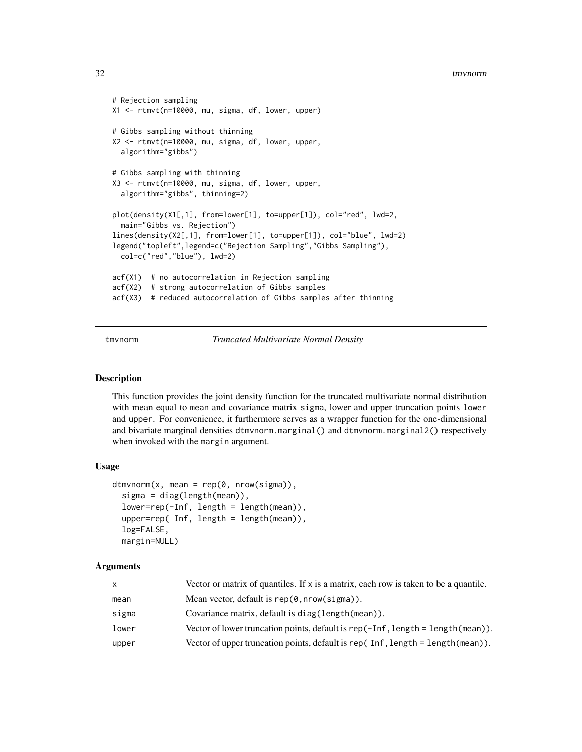```
# Rejection sampling
X1 <- rtmvt(n=10000, mu, sigma, df, lower, upper)
# Gibbs sampling without thinning
X2 <- rtmvt(n=10000, mu, sigma, df, lower, upper,
  algorithm="gibbs")
# Gibbs sampling with thinning
X3 <- rtmvt(n=10000, mu, sigma, df, lower, upper,
  algorithm="gibbs", thinning=2)
plot(density(X1[,1], from=lower[1], to=upper[1]), col="red", lwd=2,
  main="Gibbs vs. Rejection")
lines(density(X2[,1], from=lower[1], to=upper[1]), col="blue", lwd=2)
legend("topleft",legend=c("Rejection Sampling","Gibbs Sampling"),
  col=c("red","blue"), lwd=2)
acf(X1) # no autocorrelation in Rejection sampling
acf(X2) # strong autocorrelation of Gibbs samples
acf(X3) # reduced autocorrelation of Gibbs samples after thinning
```
tmvnorm *Truncated Multivariate Normal Density*

#### Description

This function provides the joint density function for the truncated multivariate normal distribution with mean equal to mean and covariance matrix sigma, lower and upper truncation points lower and upper. For convenience, it furthermore serves as a wrapper function for the one-dimensional and bivariate marginal densities dtmvnorm.marginal() and dtmvnorm.marginal2() respectively when invoked with the margin argument.

#### Usage

```
dtmvnorm(x, \text{mean} = \text{rep}(\emptyset, \text{nrow}(\text{sigma})),sigma = diag(length(mean)),
  lower=rep(-Inf, length = length(mean)),
  upper=rep( Inf, length = length(mean)),
  log=FALSE,
  margin=NULL)
```
#### Arguments

| X     | Vector or matrix of quantiles. If $x$ is a matrix, each row is taken to be a quantile. |
|-------|----------------------------------------------------------------------------------------|
| mean  | Mean vector, default is $rep(\theta, nrow(sigma))$ .                                   |
| sigma | Covariance matrix, default is diag(length(mean)).                                      |
| lower | Vector of lower truncation points, default is $rep(-Inf, length = length(mean))$ .     |
| upper | Vector of upper truncation points, default is rep( $Inf$ , length = length(mean)).     |

<span id="page-31-0"></span>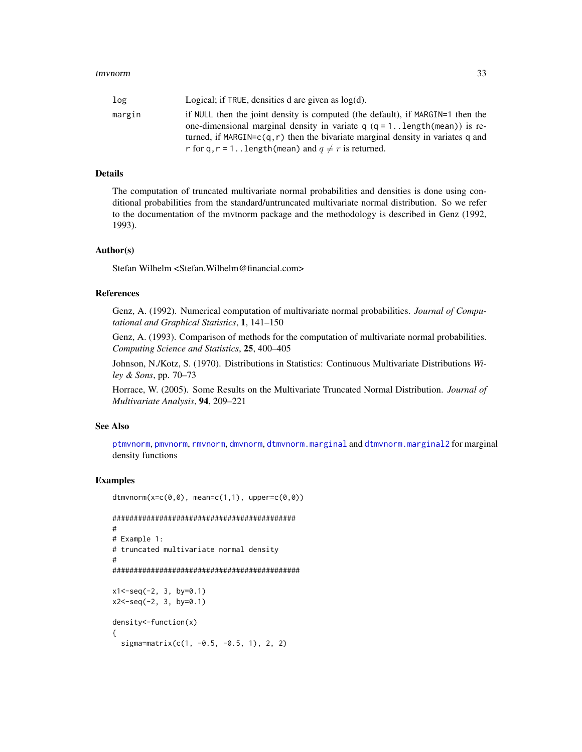<span id="page-32-0"></span>

| log    | Logical; if TRUE, densities d are given as $log(d)$ .                                       |
|--------|---------------------------------------------------------------------------------------------|
| margin | if NULL then the joint density is computed (the default), if MARGIN=1 then the              |
|        | one-dimensional marginal density in variate $q (q = 1, .\text{length}(\text{mean}))$ is re- |
|        | turned, if MARGIN= $c(q, r)$ then the bivariate marginal density in variates q and          |
|        | r for q, r = 1 length (mean) and $q \neq r$ is returned.                                    |

#### Details

The computation of truncated multivariate normal probabilities and densities is done using conditional probabilities from the standard/untruncated multivariate normal distribution. So we refer to the documentation of the mvtnorm package and the methodology is described in Genz (1992, 1993).

#### Author(s)

Stefan Wilhelm <Stefan.Wilhelm@financial.com>

#### References

Genz, A. (1992). Numerical computation of multivariate normal probabilities. *Journal of Computational and Graphical Statistics*, 1, 141–150

Genz, A. (1993). Comparison of methods for the computation of multivariate normal probabilities. *Computing Science and Statistics*, 25, 400–405

Johnson, N./Kotz, S. (1970). Distributions in Statistics: Continuous Multivariate Distributions *Wiley & Sons*, pp. 70–73

Horrace, W. (2005). Some Results on the Multivariate Truncated Normal Distribution. *Journal of Multivariate Analysis*, 94, 209–221

#### See Also

[ptmvnorm](#page-14-1), [pmvnorm](#page-0-0), [rmvnorm](#page-0-0), [dmvnorm](#page-0-0), [dtmvnorm.marginal](#page-1-1) and [dtmvnorm.marginal2](#page-4-1) for marginal density functions

```
dtmvnorm(x=c(0,0), mean=c(1,1), upper=c(0,0))
```

```
###########################################
#
# Example 1:
# truncated multivariate normal density
#
############################################
x1 < -seq(-2, 3, by=0.1)x2<-seq(-2, 3, by=0.1)
density<-function(x)
{
 signa=matrix(c(1, -0.5, -0.5, 1), 2, 2)
```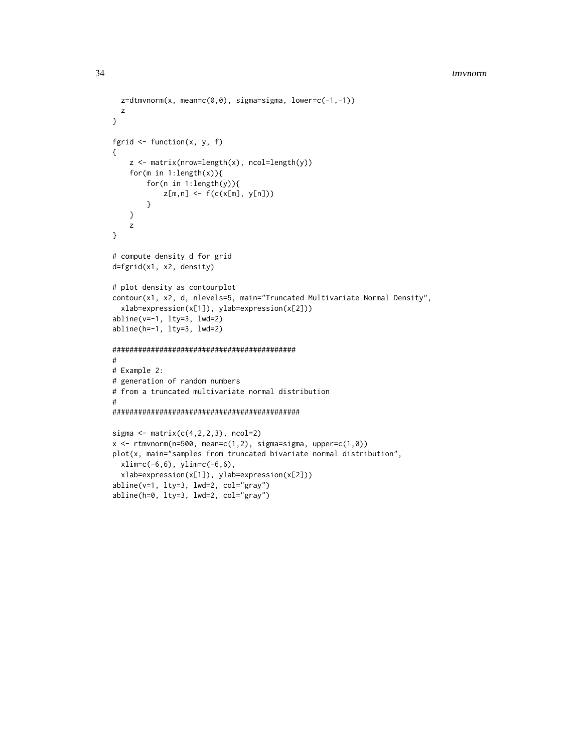```
z=dtmvnorm(x, mean=c(0,0), sigma=sigma, lower=c(-1,-1))z
}
fgrid \leq function(x, y, f)
{
    z \le matrix(nrow=length(x), ncol=length(y))
    for(m in 1:length(x)){
        for(n in 1:length(y)){
            z[m,n] <- f(c(x[m], y[n]))
        }
   }
    z
}
# compute density d for grid
d=fgrid(x1, x2, density)
# plot density as contourplot
contour(x1, x2, d, nlevels=5, main="Truncated Multivariate Normal Density",
  xlab=expression(x[1]), ylab=expression(x[2]))
abline(y=-1, lty=3, lwd=2)abline(h=-1, lty=3, lwd=2)
###########################################
#
# Example 2:
# generation of random numbers
# from a truncated multivariate normal distribution
#
############################################
sigma \leq matrix(c(4,2,2,3), ncol=2)
x \le rtmvnorm(n=500, mean=c(1,2), sigma=sigma, upper=c(1,0))
plot(x, main="samples from truncated bivariate normal distribution",
  xlim=c(-6,6), ylim=c(-6,6),
  xlab=expression(x[1]), ylab=expression(x[2]))
abline(v=1, lty=3, lwd=2, col="gray")
```
abline(h=0, lty=3, lwd=2, col="gray")